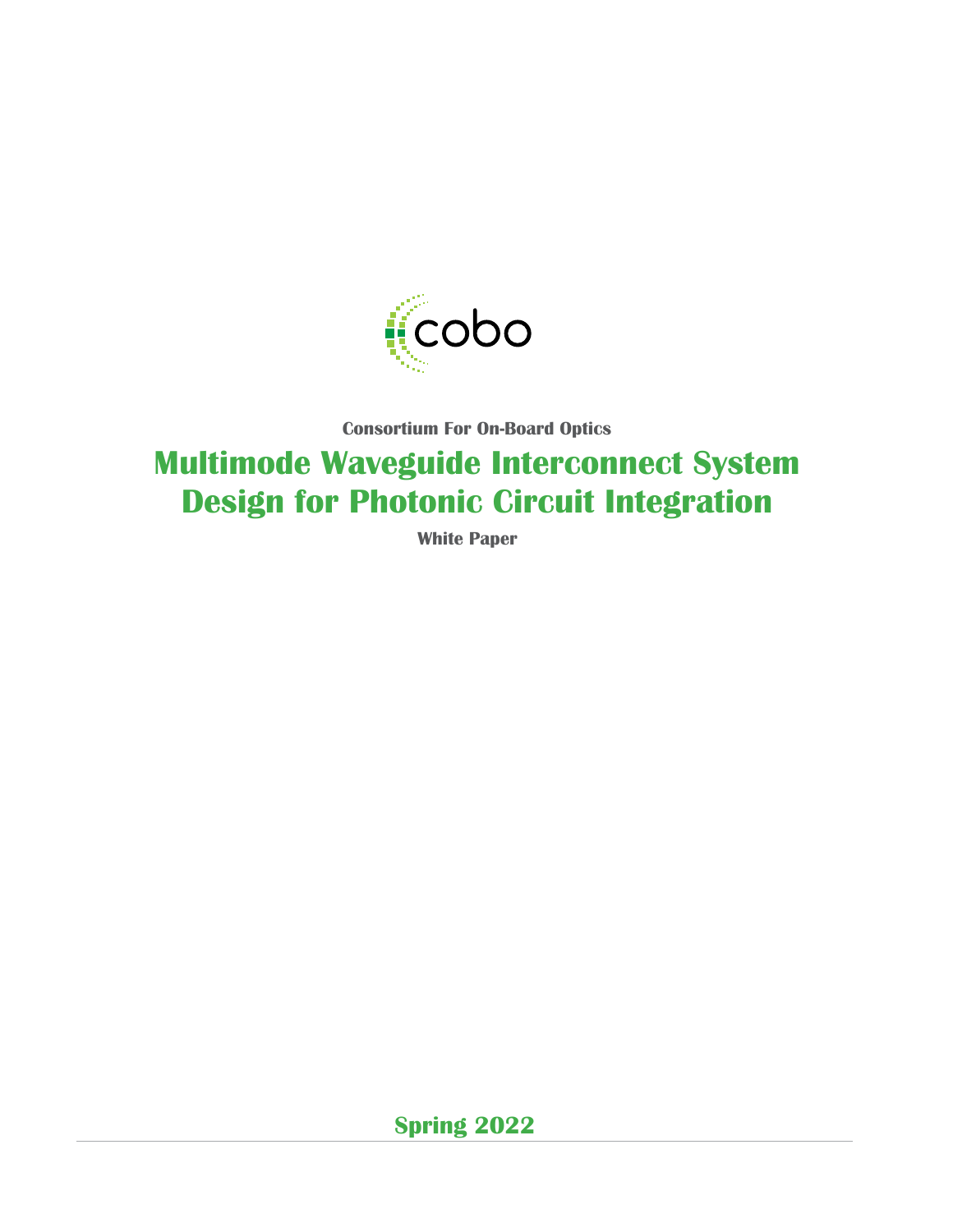

**Consortium For On-Board Optics**

# **Multimode Waveguide Interconnect System Design for Photonic Circuit Integration**

**White Paper**

**Spring 2022**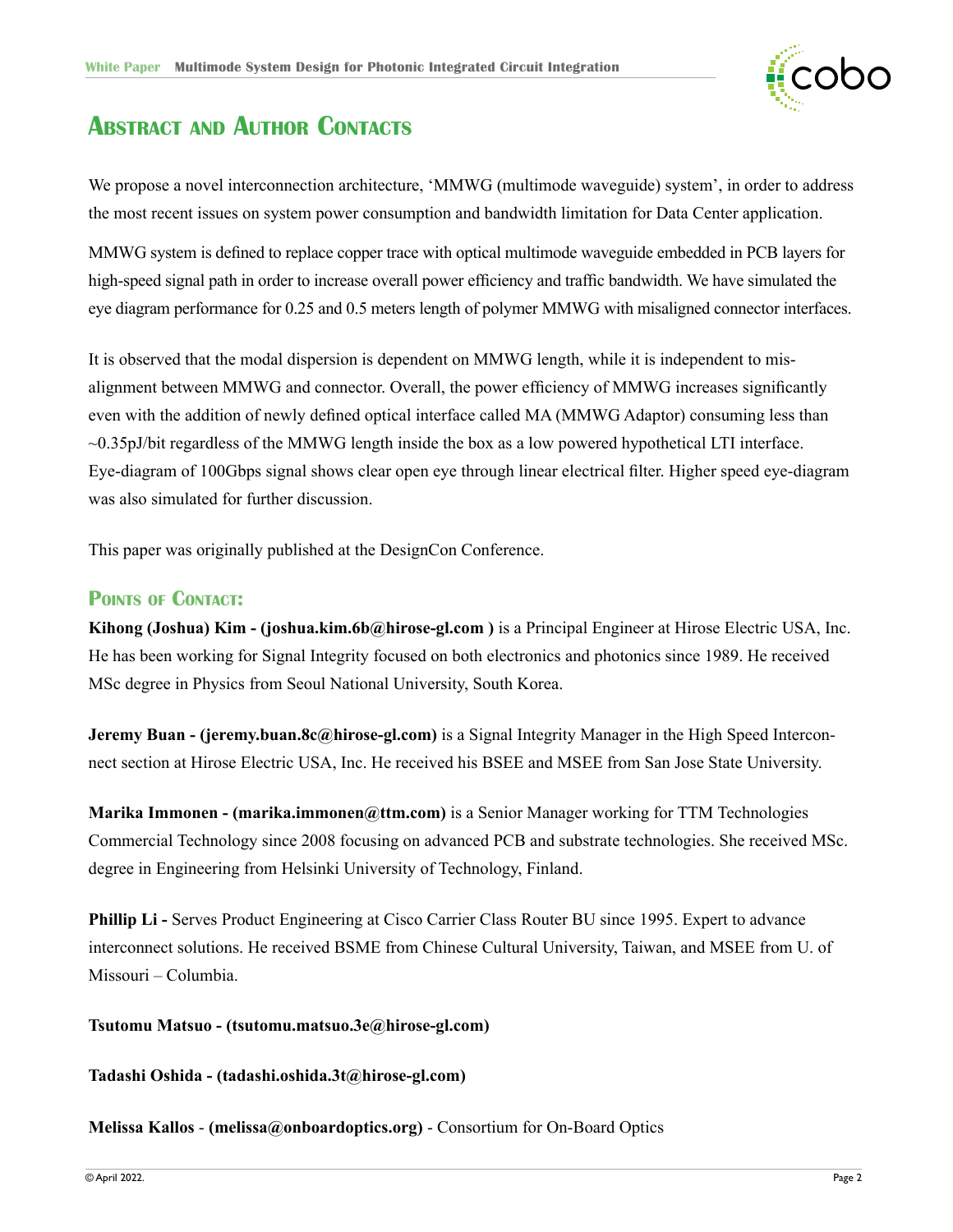

## <span id="page-1-0"></span>**Abstract and Author Contacts**

We propose a novel interconnection architecture, 'MMWG (multimode waveguide) system', in order to address the most recent issues on system power consumption and bandwidth limitation for Data Center application.

MMWG system is defined to replace copper trace with optical multimode waveguide embedded in PCB layers for high-speed signal path in order to increase overall power efficiency and traffic bandwidth. We have simulated the eye diagram performance for 0.25 and 0.5 meters length of polymer MMWG with misaligned connector interfaces.

It is observed that the modal dispersion is dependent on MMWG length, while it is independent to misalignment between MMWG and connector. Overall, the power efficiency of MMWG increases significantly even with the addition of newly defined optical interface called MA (MMWG Adaptor) consuming less than ~0.35pJ/bit regardless of the MMWG length inside the box as a low powered hypothetical LTI interface. Eye-diagram of 100Gbps signal shows clear open eye through linear electrical filter. Higher speed eye-diagram was also simulated for further discussion.

This paper was originally published at the DesignCon Conference.

### **Points of Contact:**

**Kihong (Joshua) Kim - (joshua.kim.6b@hirose-gl.com )** is a Principal Engineer at Hirose Electric USA, Inc. He has been working for Signal Integrity focused on both electronics and photonics since 1989. He received MSc degree in Physics from Seoul National University, South Korea.

**Jeremy Buan - (jeremy.buan.8c@hirose-gl.com)** is a Signal Integrity Manager in the High Speed Interconnect section at Hirose Electric USA, Inc. He received his BSEE and MSEE from San Jose State University.

**Marika Immonen - (marika.immonen@ttm.com)** is a Senior Manager working for TTM Technologies Commercial Technology since 2008 focusing on advanced PCB and substrate technologies. She received MSc. degree in Engineering from Helsinki University of Technology, Finland.

**Phillip Li -** Serves Product Engineering at Cisco Carrier Class Router BU since 1995. Expert to advance interconnect solutions. He received BSME from Chinese Cultural University, Taiwan, and MSEE from U. of Missouri – Columbia.

### **Tsutomu Matsuo - (tsutomu.matsuo.3e@hirose-gl.com)**

#### **Tadashi Oshida - (tadashi.oshida.3t@hirose-gl.com)**

**Melissa Kallos** - **(melissa@onboardoptics.org)** - Consortium for On-Board Optics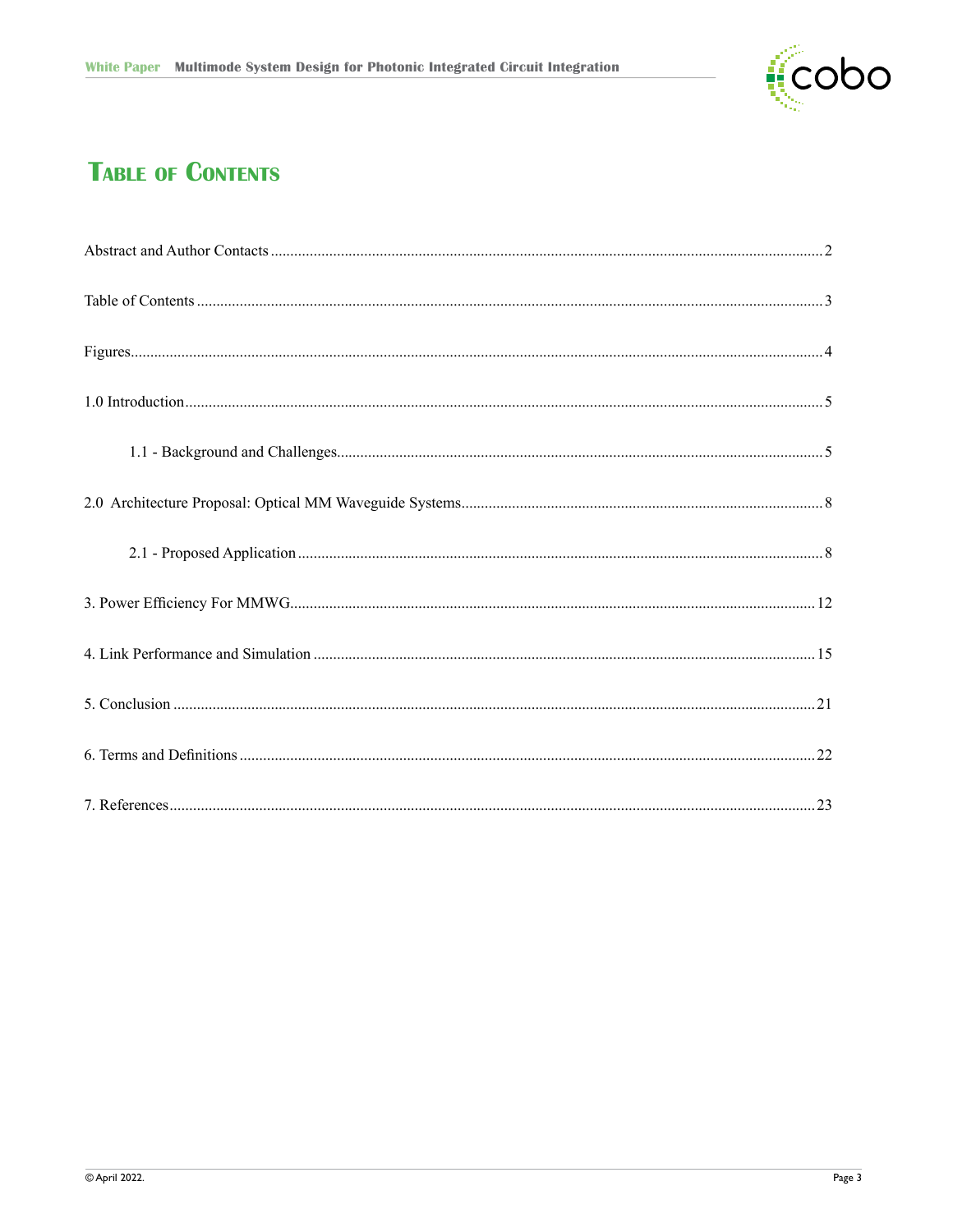

# **TABLE OF CONTENTS**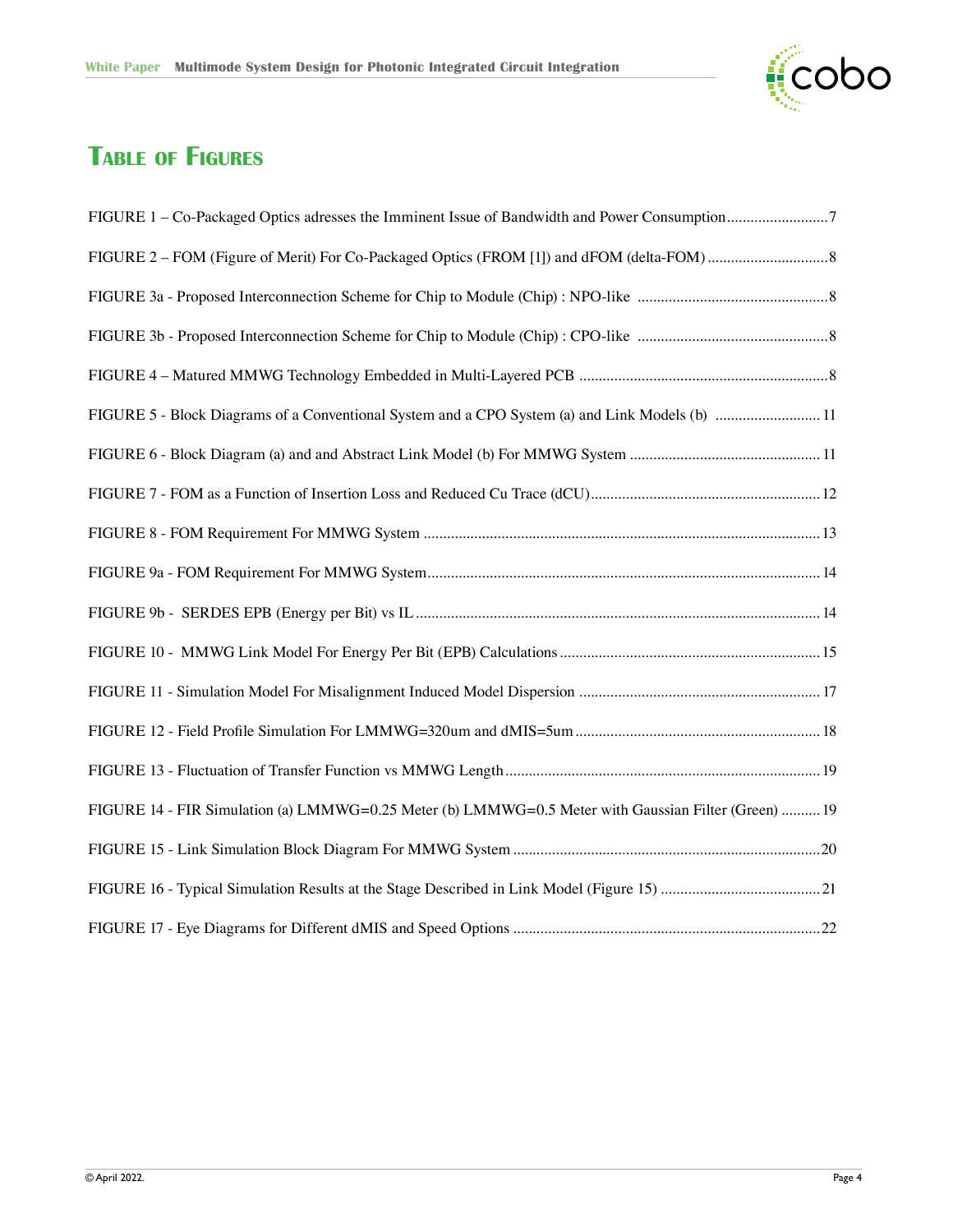

# **Table of Figures**

| FIGURE 5 - Block Diagrams of a Conventional System and a CPO System (a) and Link Models (b)  11      |  |
|------------------------------------------------------------------------------------------------------|--|
|                                                                                                      |  |
|                                                                                                      |  |
|                                                                                                      |  |
|                                                                                                      |  |
|                                                                                                      |  |
|                                                                                                      |  |
|                                                                                                      |  |
|                                                                                                      |  |
|                                                                                                      |  |
| FIGURE 14 - FIR Simulation (a) LMMWG=0.25 Meter (b) LMMWG=0.5 Meter with Gaussian Filter (Green)  19 |  |
|                                                                                                      |  |
|                                                                                                      |  |
|                                                                                                      |  |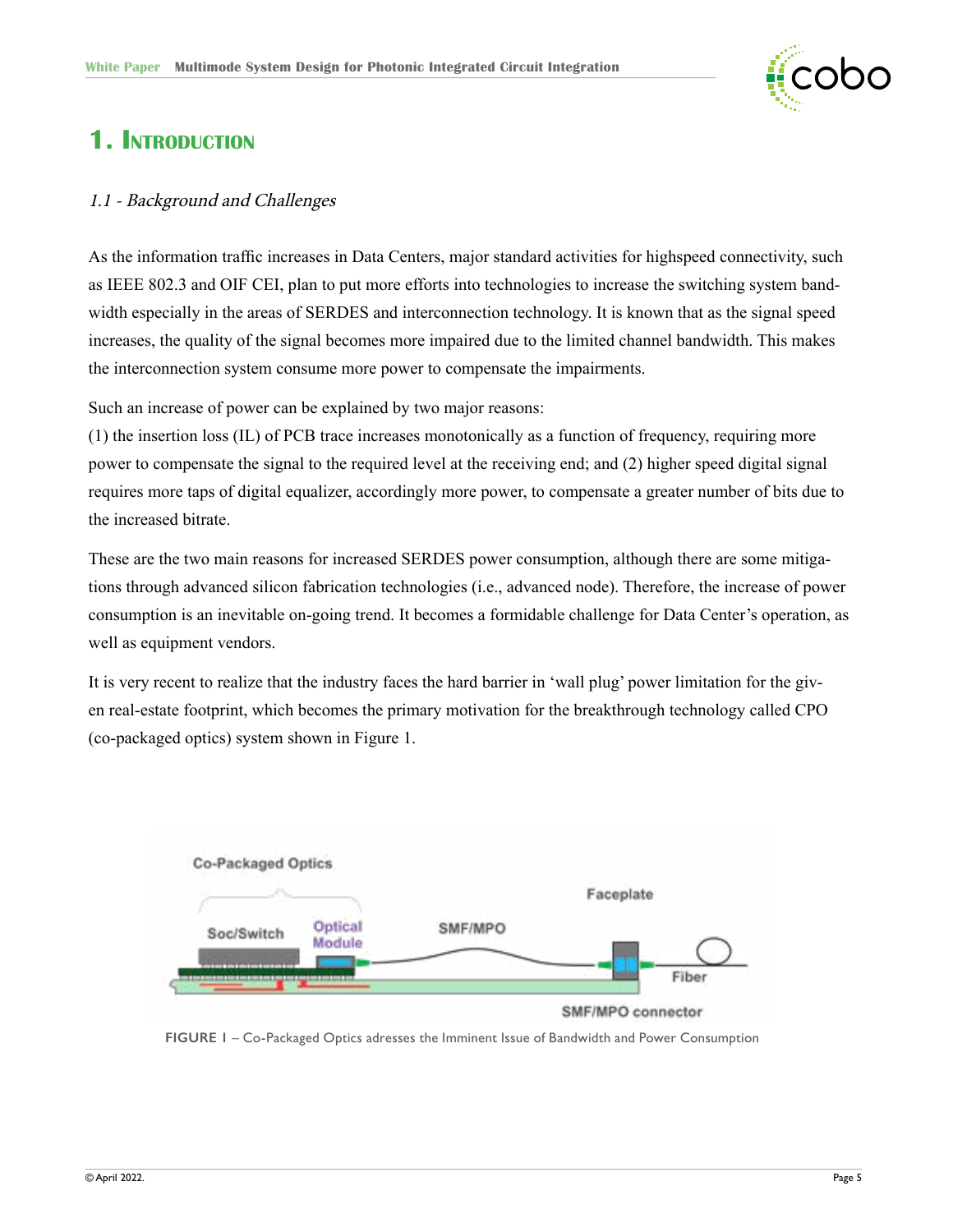

### <span id="page-4-0"></span>**1. Introduction**

#### 1.1 - Background and Challenges

As the information traffic increases in Data Centers, major standard activities for highspeed connectivity, such as IEEE 802.3 and OIF CEI, plan to put more efforts into technologies to increase the switching system bandwidth especially in the areas of SERDES and interconnection technology. It is known that as the signal speed increases, the quality of the signal becomes more impaired due to the limited channel bandwidth. This makes the interconnection system consume more power to compensate the impairments.

Such an increase of power can be explained by two major reasons:

(1) the insertion loss (IL) of PCB trace increases monotonically as a function of frequency, requiring more power to compensate the signal to the required level at the receiving end; and (2) higher speed digital signal requires more taps of digital equalizer, accordingly more power, to compensate a greater number of bits due to the increased bitrate.

These are the two main reasons for increased SERDES power consumption, although there are some mitigations through advanced silicon fabrication technologies (i.e., advanced node). Therefore, the increase of power consumption is an inevitable on-going trend. It becomes a formidable challenge for Data Center's operation, as well as equipment vendors.

It is very recent to realize that the industry faces the hard barrier in 'wall plug' power limitation for the given real-estate footprint, which becomes the primary motivation for the breakthrough technology called CPO (co-packaged optics) system shown in Figure 1.



SMF/MPO connector

**FIGURE 1** – Co-Packaged Optics adresses the Imminent Issue of Bandwidth and Power Consumption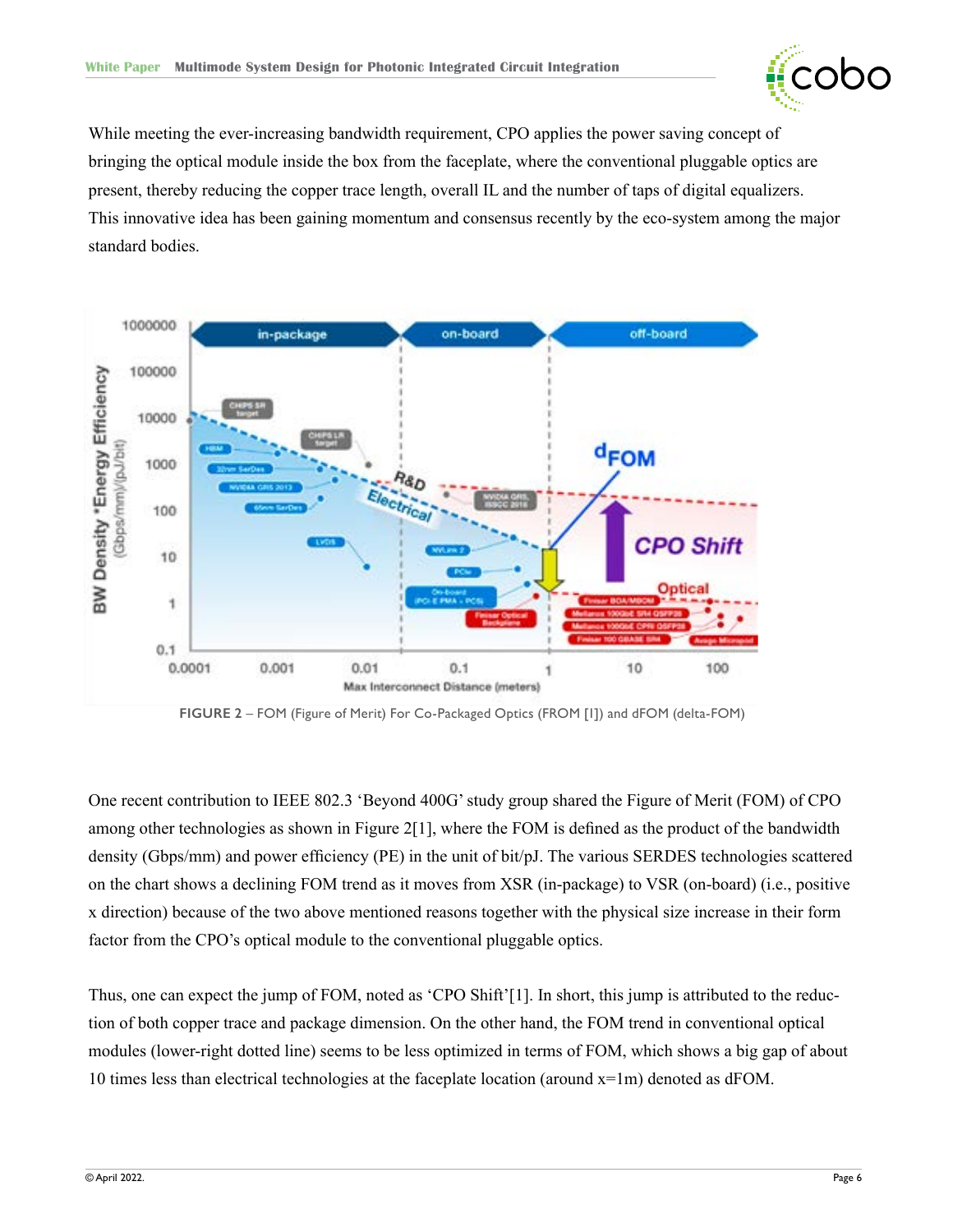

<span id="page-5-0"></span>While meeting the ever-increasing bandwidth requirement, CPO applies the power saving concept of bringing the optical module inside the box from the faceplate, where the conventional pluggable optics are present, thereby reducing the copper trace length, overall IL and the number of taps of digital equalizers. This innovative idea has been gaining momentum and consensus recently by the eco-system among the major standard bodies.



**FIGURE 2** – FOM (Figure of Merit) For Co-Packaged Optics (FROM [1]) and dFOM (delta-FOM)

One recent contribution to IEEE 802.3 'Beyond 400G' study group shared the Figure of Merit (FOM) of CPO among other technologies as shown in Figure 2[1], where the FOM is defined as the product of the bandwidth density (Gbps/mm) and power efficiency (PE) in the unit of bit/pJ. The various SERDES technologies scattered on the chart shows a declining FOM trend as it moves from XSR (in-package) to VSR (on-board) (i.e., positive x direction) because of the two above mentioned reasons together with the physical size increase in their form factor from the CPO's optical module to the conventional pluggable optics.

Thus, one can expect the jump of FOM, noted as 'CPO Shift'[1]. In short, this jump is attributed to the reduction of both copper trace and package dimension. On the other hand, the FOM trend in conventional optical modules (lower-right dotted line) seems to be less optimized in terms of FOM, which shows a big gap of about 10 times less than electrical technologies at the faceplate location (around  $x=1m$ ) denoted as dFOM.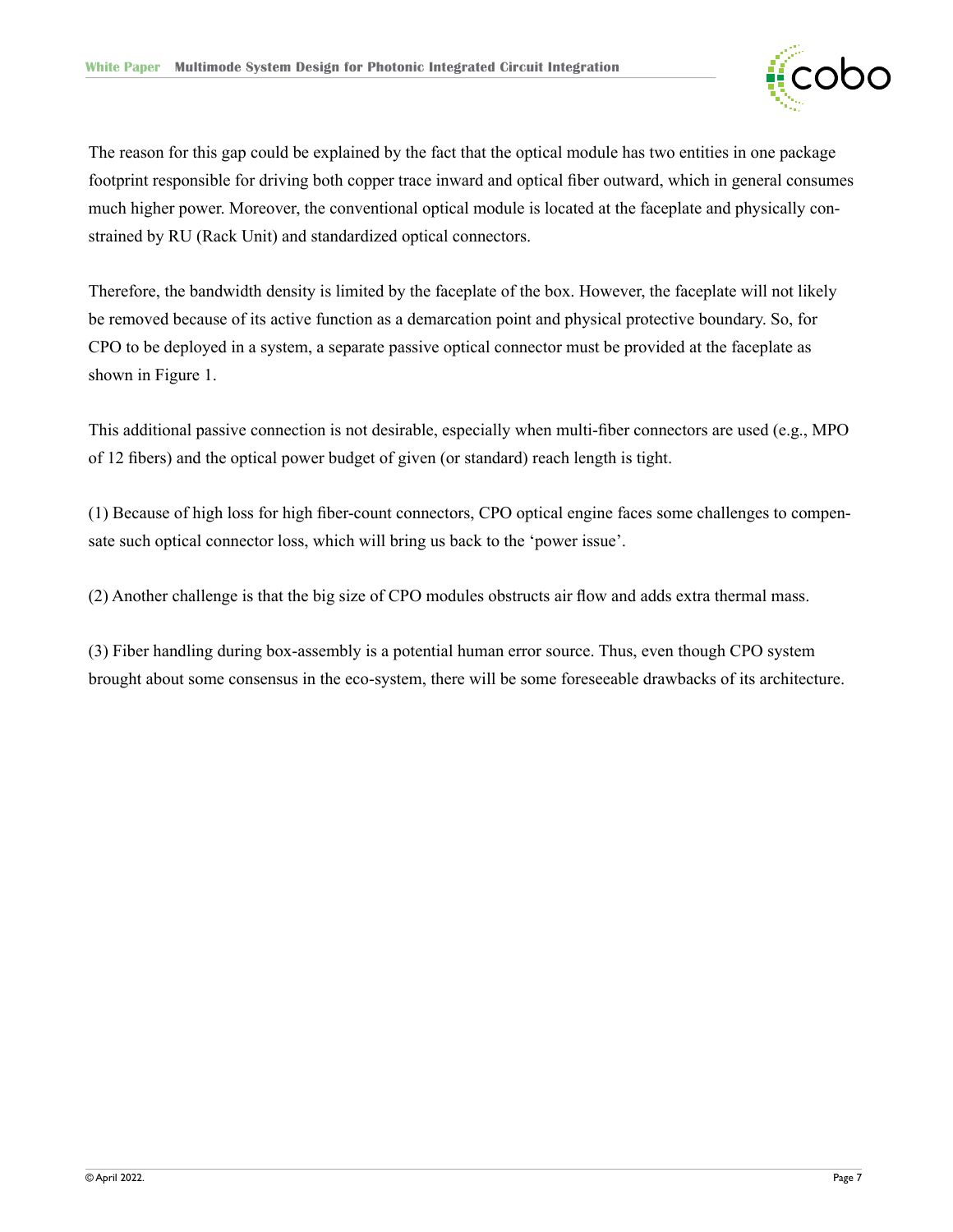

The reason for this gap could be explained by the fact that the optical module has two entities in one package footprint responsible for driving both copper trace inward and optical fiber outward, which in general consumes much higher power. Moreover, the conventional optical module is located at the faceplate and physically constrained by RU (Rack Unit) and standardized optical connectors.

Therefore, the bandwidth density is limited by the faceplate of the box. However, the faceplate will not likely be removed because of its active function as a demarcation point and physical protective boundary. So, for CPO to be deployed in a system, a separate passive optical connector must be provided at the faceplate as shown in Figure 1.

This additional passive connection is not desirable, especially when multi-fiber connectors are used (e.g., MPO of 12 fibers) and the optical power budget of given (or standard) reach length is tight.

(1) Because of high loss for high fiber-count connectors, CPO optical engine faces some challenges to compensate such optical connector loss, which will bring us back to the 'power issue'.

(2) Another challenge is that the big size of CPO modules obstructs air flow and adds extra thermal mass.

(3) Fiber handling during box-assembly is a potential human error source. Thus, even though CPO system brought about some consensus in the eco-system, there will be some foreseeable drawbacks of its architecture.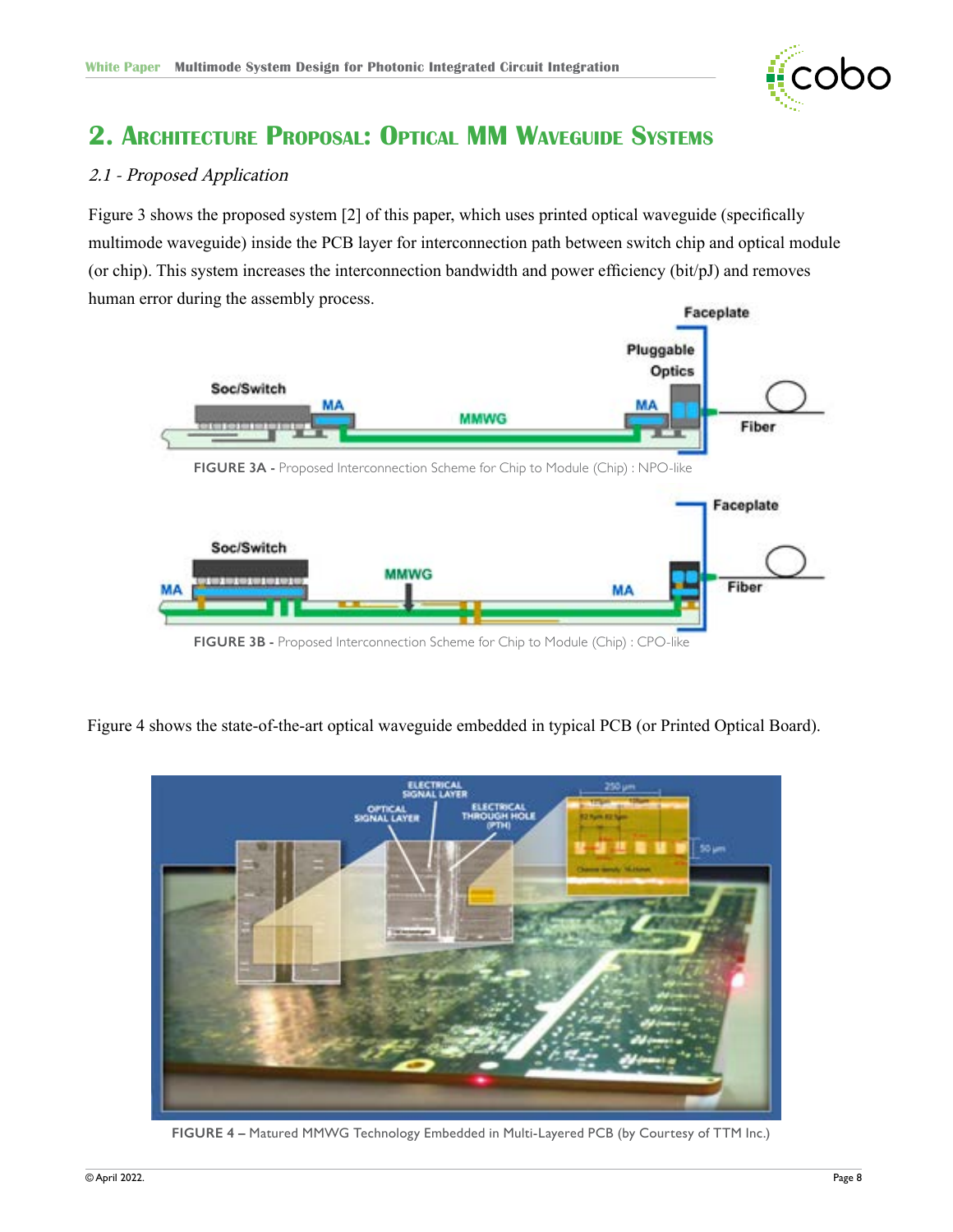

# <span id="page-7-0"></span>**2. Architecture Proposal: Optical MM Waveguide Systems**

### 2.1 - Proposed Application

Figure 3 shows the proposed system [2] of this paper, which uses printed optical waveguide (specifically multimode waveguide) inside the PCB layer for interconnection path between switch chip and optical module (or chip). This system increases the interconnection bandwidth and power efficiency (bit/pJ) and removes human error during the assembly process.



Figure 4 shows the state-of-the-art optical waveguide embedded in typical PCB (or Printed Optical Board).



**FIGURE 4 –** Matured MMWG Technology Embedded in Multi-Layered PCB (by Courtesy of TTM Inc.)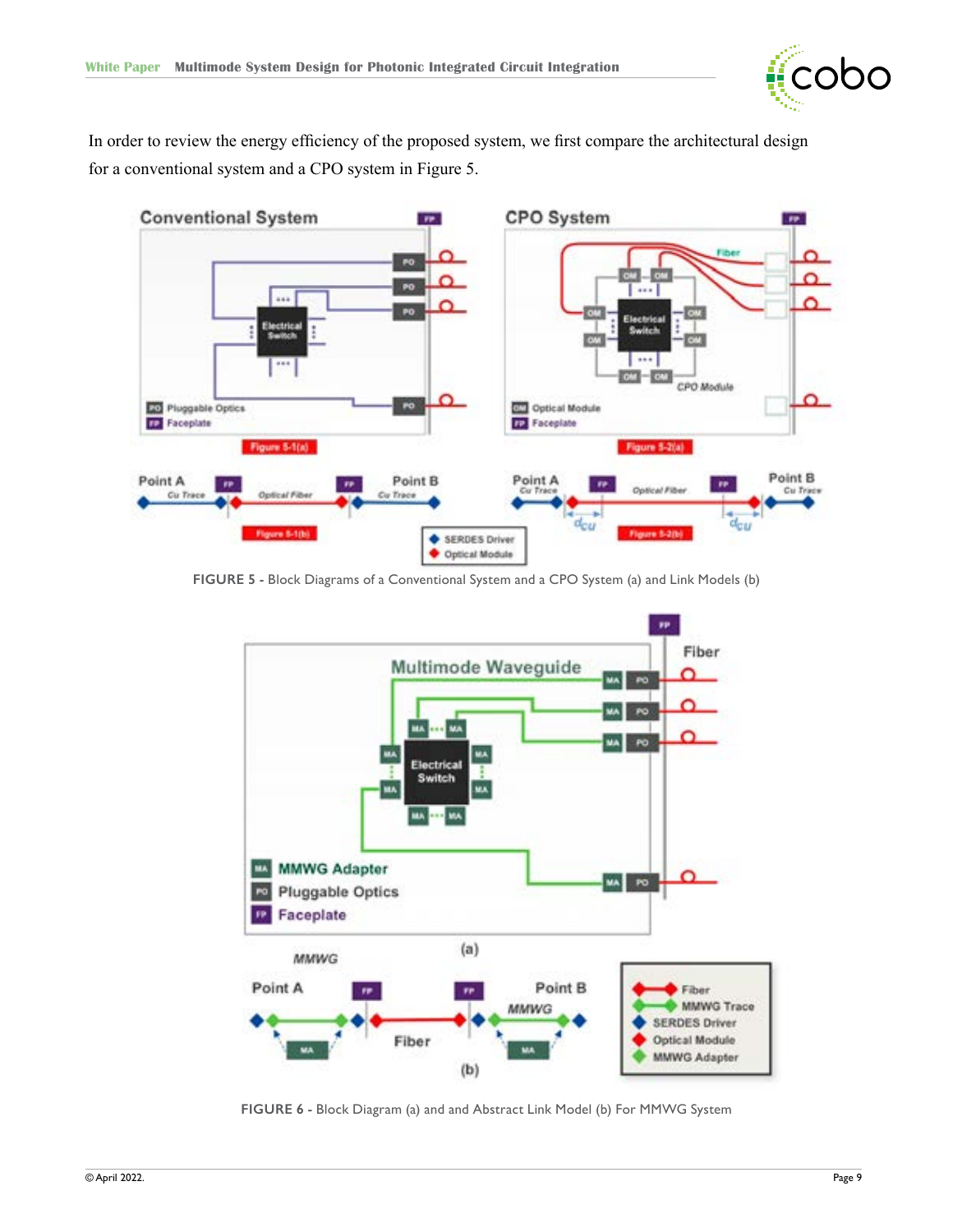

<span id="page-8-0"></span>In order to review the energy efficiency of the proposed system, we first compare the architectural design for a conventional system and a CPO system in Figure 5.



**FIGURE 5 -** Block Diagrams of a Conventional System and a CPO System (a) and Link Models (b)



**FIGURE 6 -** Block Diagram (a) and and Abstract Link Model (b) For MMWG System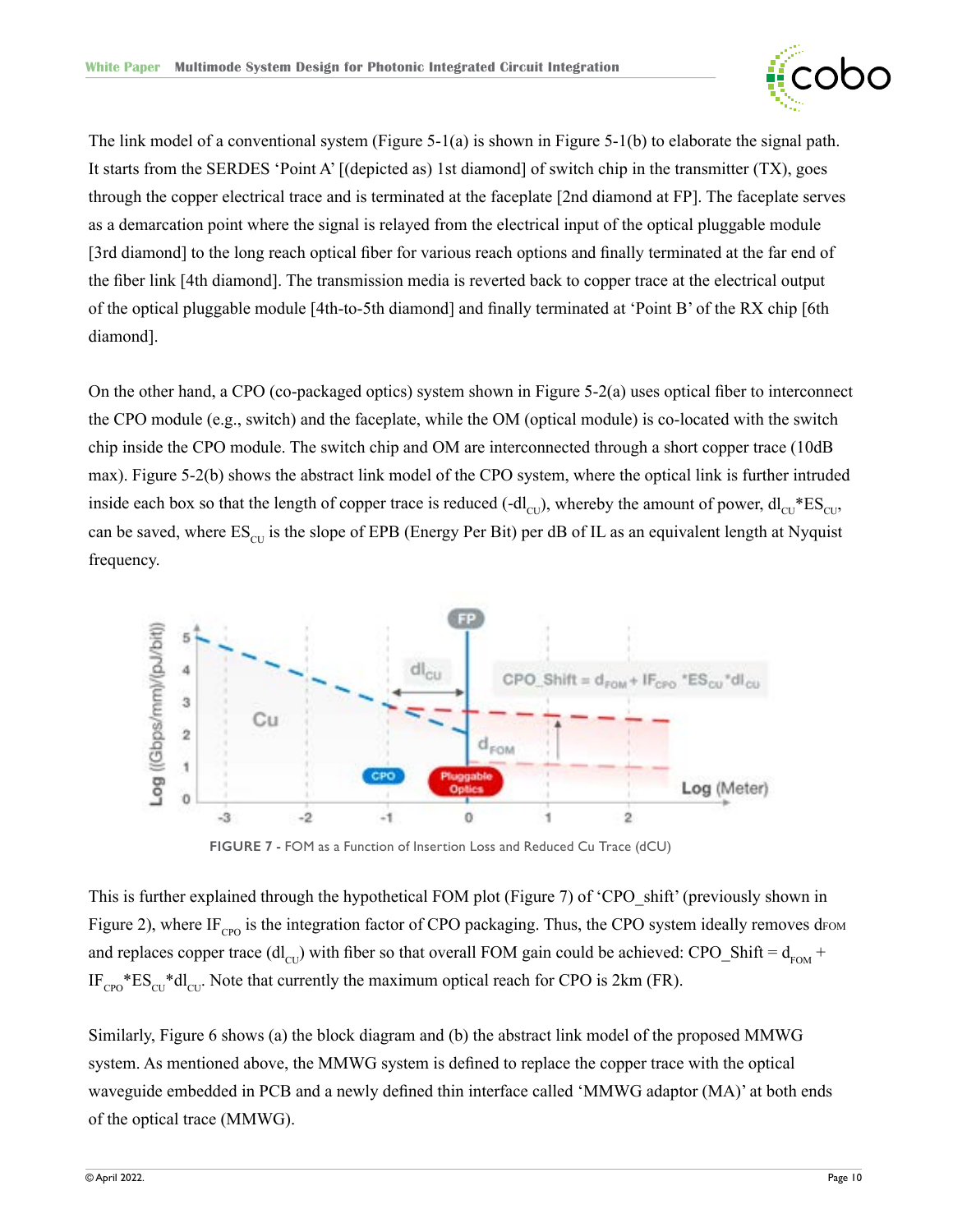

<span id="page-9-0"></span>The link model of a conventional system (Figure 5-1(a) is shown in Figure 5-1(b) to elaborate the signal path. It starts from the SERDES 'Point A' [(depicted as) 1st diamond] of switch chip in the transmitter (TX), goes through the copper electrical trace and is terminated at the faceplate [2nd diamond at FP]. The faceplate serves as a demarcation point where the signal is relayed from the electrical input of the optical pluggable module [3rd diamond] to the long reach optical fiber for various reach options and finally terminated at the far end of the fiber link [4th diamond]. The transmission media is reverted back to copper trace at the electrical output of the optical pluggable module [4th-to-5th diamond] and finally terminated at 'Point B' of the RX chip [6th diamond].

On the other hand, a CPO (co-packaged optics) system shown in Figure 5-2(a) uses optical fiber to interconnect the CPO module (e.g., switch) and the faceplate, while the OM (optical module) is co-located with the switch chip inside the CPO module. The switch chip and OM are interconnected through a short copper trace (10dB max). Figure 5-2(b) shows the abstract link model of the CPO system, where the optical link is further intruded inside each box so that the length of copper trace is reduced (-dl<sub>CU</sub>), whereby the amount of power, dl<sub>CU</sub>\*ES<sub>CU</sub>, can be saved, where  $ES_{\text{CU}}$  is the slope of EPB (Energy Per Bit) per dB of IL as an equivalent length at Nyquist frequency.



**FIGURE 7 -** FOM as a Function of Insertion Loss and Reduced Cu Trace (dCU)

This is further explained through the hypothetical FOM plot (Figure 7) of 'CPO\_shift' (previously shown in Figure 2), where IF<sub>cpo</sub> is the integration factor of CPO packaging. Thus, the CPO system ideally removes d<sub>FOM</sub> and replaces copper trace  $dl_{\text{CU}}$ ) with fiber so that overall FOM gain could be achieved: CPO\_Shift =  $d_{\text{FOM}}$  +  $IF_{CPO} * ES_{CU} * dI_{CU}$ . Note that currently the maximum optical reach for CPO is 2km (FR).

Similarly, Figure 6 shows (a) the block diagram and (b) the abstract link model of the proposed MMWG system. As mentioned above, the MMWG system is defined to replace the copper trace with the optical waveguide embedded in PCB and a newly defined thin interface called 'MMWG adaptor (MA)' at both ends of the optical trace (MMWG).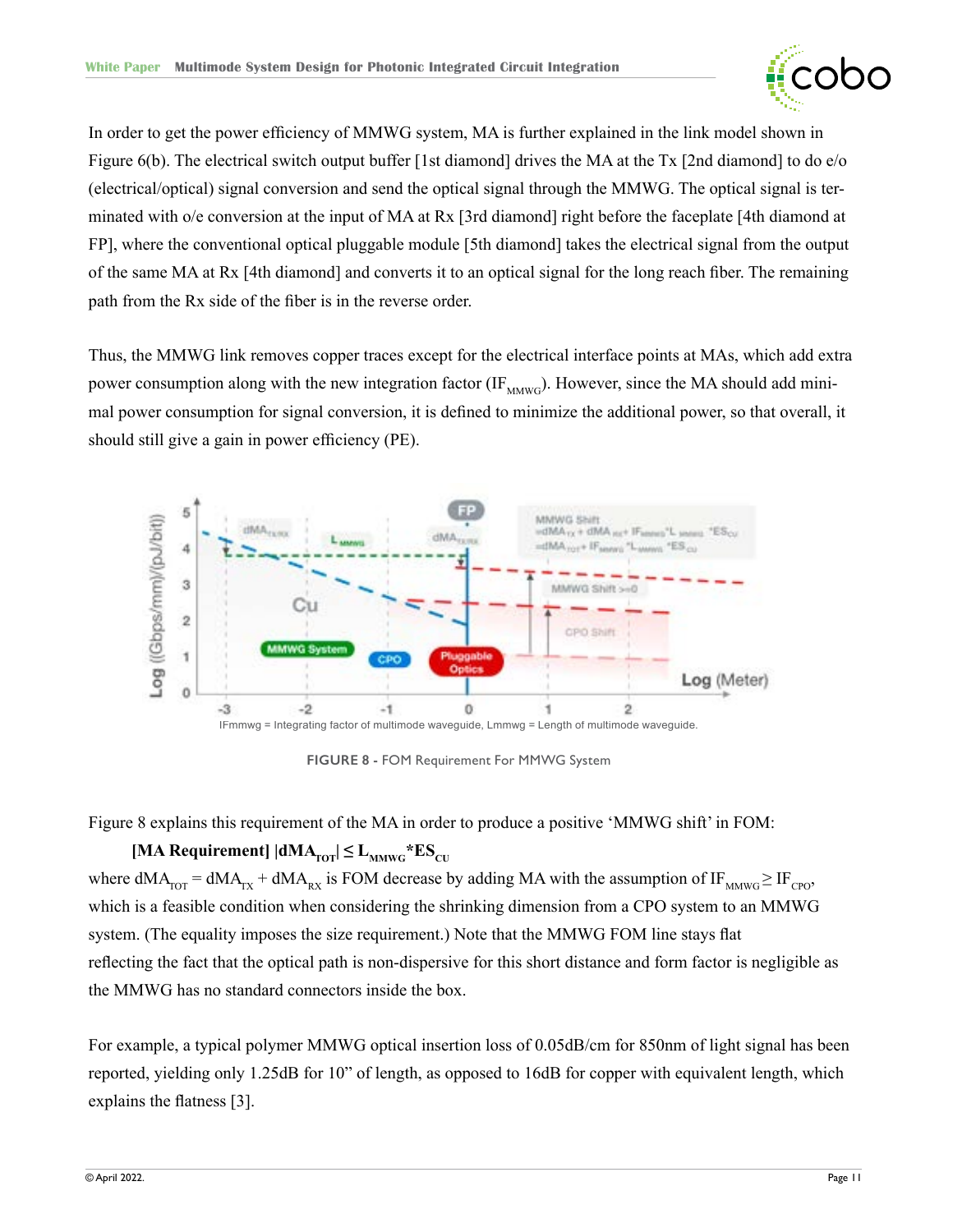

<span id="page-10-0"></span>In order to get the power efficiency of MMWG system, MA is further explained in the link model shown in Figure 6(b). The electrical switch output buffer [1st diamond] drives the MA at the Tx [2nd diamond] to do e/o (electrical/optical) signal conversion and send the optical signal through the MMWG. The optical signal is terminated with o/e conversion at the input of MA at Rx [3rd diamond] right before the faceplate [4th diamond at FP], where the conventional optical pluggable module [5th diamond] takes the electrical signal from the output of the same MA at Rx [4th diamond] and converts it to an optical signal for the long reach fiber. The remaining path from the Rx side of the fiber is in the reverse order.

Thus, the MMWG link removes copper traces except for the electrical interface points at MAs, which add extra power consumption along with the new integration factor  $(\text{IF}_{\text{MMWG}})$ . However, since the MA should add minimal power consumption for signal conversion, it is defined to minimize the additional power, so that overall, it should still give a gain in power efficiency (PE).



**FIGURE 8 -** FOM Requirement For MMWG System

Figure 8 explains this requirement of the MA in order to produce a positive 'MMWG shift' in FOM:

### $[MA$  Requirement $] |dMA_{\text{TOT}}| \leq L_{\text{MMWG}} * ES_{\text{CU}}$ where  $dMA_{TOT} = dMA_{TX} + dMA_{RX}$  is FOM decrease by adding MA with the assumption of IF<sub>MMWG</sub>  $\geq$  IF<sub>CPO</sub>, which is a feasible condition when considering the shrinking dimension from a CPO system to an MMWG system. (The equality imposes the size requirement.) Note that the MMWG FOM line stays flat reflecting the fact that the optical path is non-dispersive for this short distance and form factor is negligible as the MMWG has no standard connectors inside the box.

For example, a typical polymer MMWG optical insertion loss of 0.05dB/cm for 850nm of light signal has been reported, yielding only 1.25dB for 10" of length, as opposed to 16dB for copper with equivalent length, which explains the flatness [3].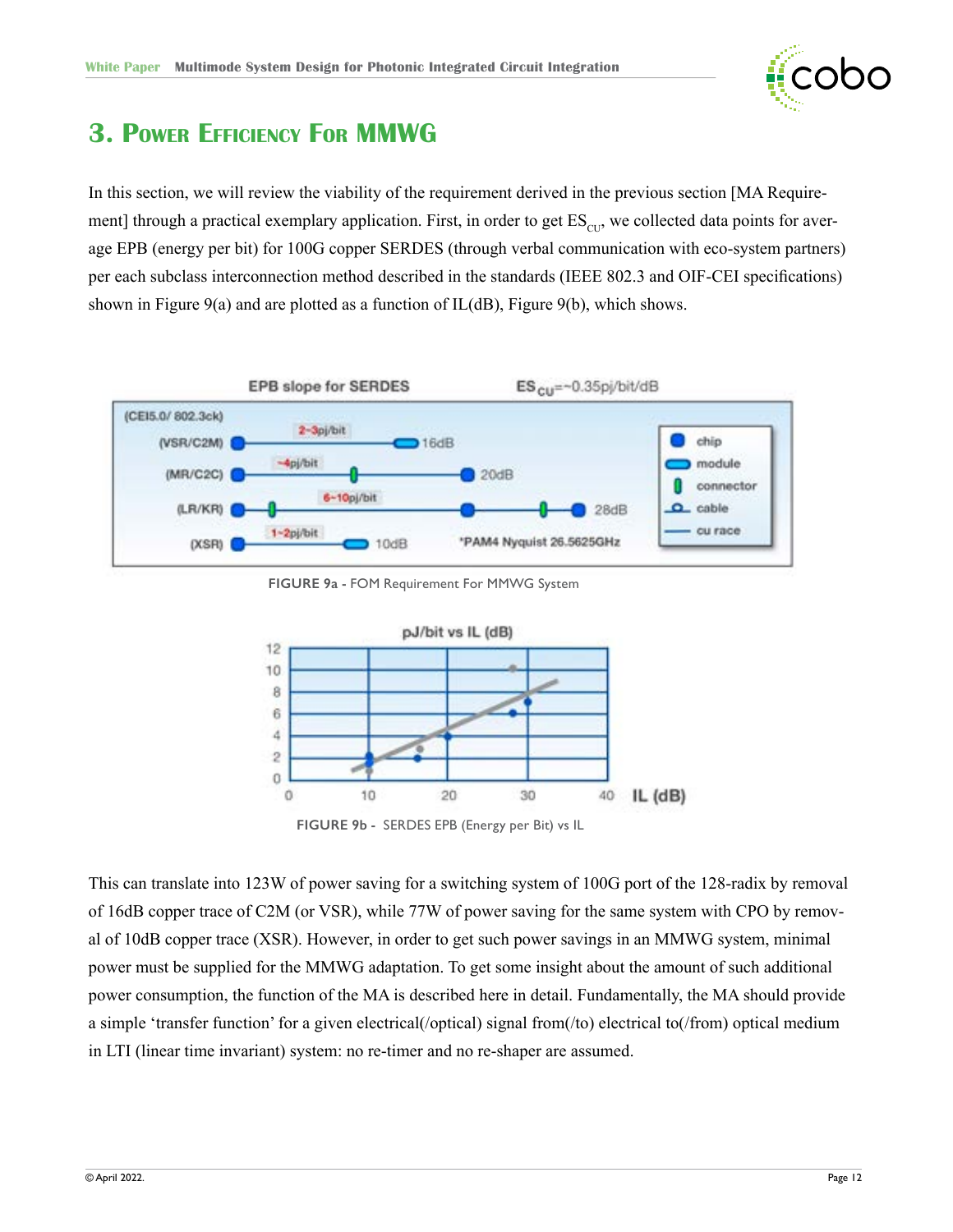

# <span id="page-11-0"></span>**3. Power Efficiency For MMWG**

In this section, we will review the viability of the requirement derived in the previous section [MA Requirement] through a practical exemplary application. First, in order to get  $ES<sub>CD</sub>$ , we collected data points for average EPB (energy per bit) for 100G copper SERDES (through verbal communication with eco-system partners) per each subclass interconnection method described in the standards (IEEE 802.3 and OIF-CEI specifications) shown in Figure 9(a) and are plotted as a function of IL(dB), Figure 9(b), which shows.



**FIGURE 9a -** FOM Requirement For MMWG System



This can translate into 123W of power saving for a switching system of 100G port of the 128-radix by removal of 16dB copper trace of C2M (or VSR), while 77W of power saving for the same system with CPO by removal of 10dB copper trace (XSR). However, in order to get such power savings in an MMWG system, minimal power must be supplied for the MMWG adaptation. To get some insight about the amount of such additional power consumption, the function of the MA is described here in detail. Fundamentally, the MA should provide a simple 'transfer function' for a given electrical(/optical) signal from(/to) electrical to(/from) optical medium in LTI (linear time invariant) system: no re-timer and no re-shaper are assumed.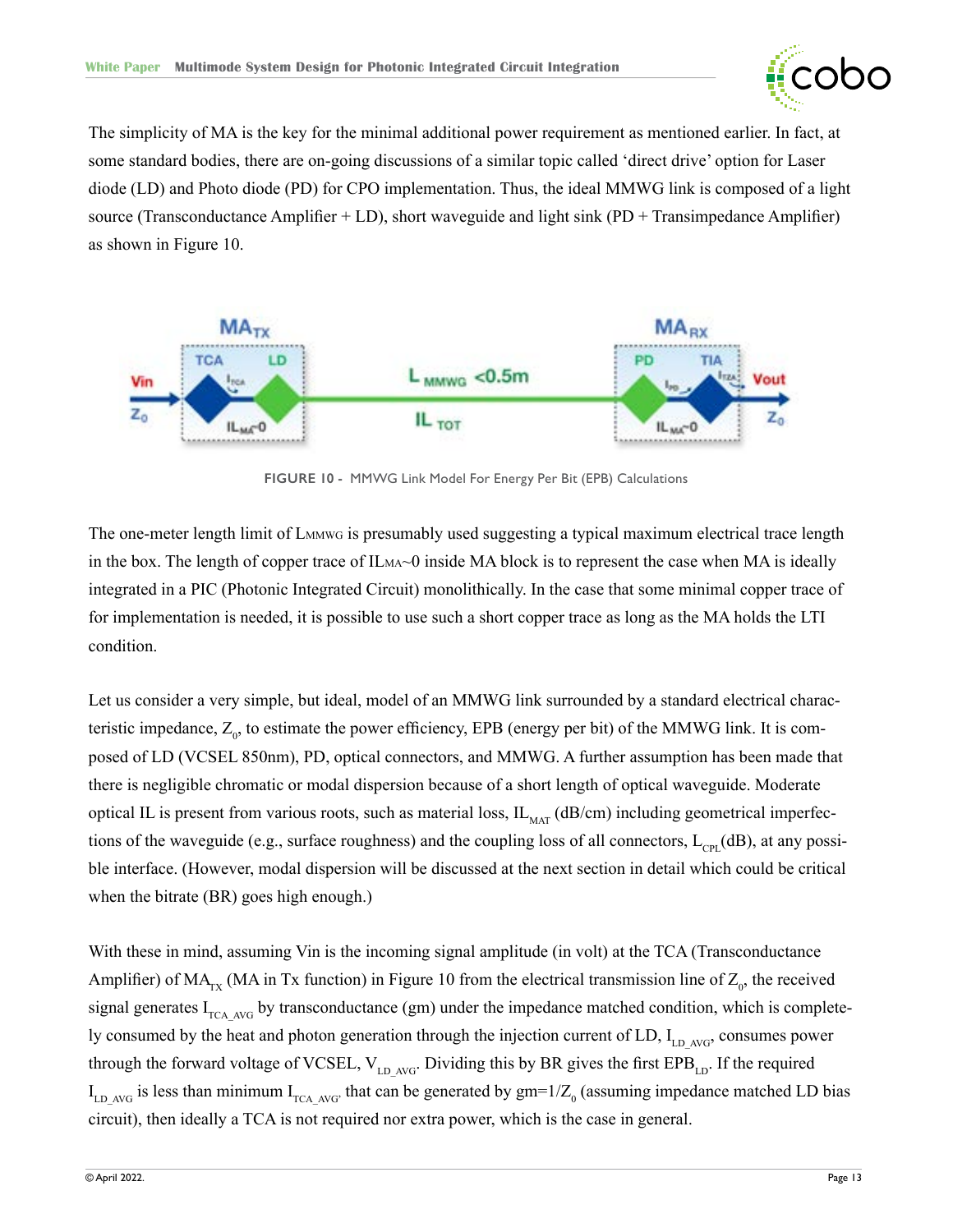

<span id="page-12-0"></span>The simplicity of MA is the key for the minimal additional power requirement as mentioned earlier. In fact, at some standard bodies, there are on-going discussions of a similar topic called 'direct drive' option for Laser diode (LD) and Photo diode (PD) for CPO implementation. Thus, the ideal MMWG link is composed of a light source (Transconductance Amplifier  $+$  LD), short waveguide and light sink (PD  $+$  Transimpedance Amplifier) as shown in Figure 10.



**FIGURE 10 -** MMWG Link Model For Energy Per Bit (EPB) Calculations

The one-meter length limit of L<sub>MMWG</sub> is presumably used suggesting a typical maximum electrical trace length in the box. The length of copper trace of  $IL_{MA}$  $\sim$ 0 inside MA block is to represent the case when MA is ideally integrated in a PIC (Photonic Integrated Circuit) monolithically. In the case that some minimal copper trace of for implementation is needed, it is possible to use such a short copper trace as long as the MA holds the LTI condition.

Let us consider a very simple, but ideal, model of an MMWG link surrounded by a standard electrical characteristic impedance,  $Z_0$ , to estimate the power efficiency, EPB (energy per bit) of the MMWG link. It is composed of LD (VCSEL 850nm), PD, optical connectors, and MMWG. A further assumption has been made that there is negligible chromatic or modal dispersion because of a short length of optical waveguide. Moderate optical IL is present from various roots, such as material loss,  $IL_{\text{MAT}}$  (dB/cm) including geometrical imperfections of the waveguide (e.g., surface roughness) and the coupling loss of all connectors,  $L_{\text{cor}}(dB)$ , at any possible interface. (However, modal dispersion will be discussed at the next section in detail which could be critical when the bitrate (BR) goes high enough.)

With these in mind, assuming Vin is the incoming signal amplitude (in volt) at the TCA (Transconductance Amplifier) of  $MA_{rx}$  (MA in Tx function) in Figure 10 from the electrical transmission line of  $Z_0$ , the received signal generates  $I_{TCA-AVG}$  by transconductance (gm) under the impedance matched condition, which is completely consumed by the heat and photon generation through the injection current of LD,  $I_{LD|AVC}$  consumes power through the forward voltage of VCSEL,  $V_{LD AVG}$ . Dividing this by BR gives the first EPB<sub>LD</sub>. If the required  $I_{LD|AVG}$  is less than minimum  $I_{TCA|AVG}$ , that can be generated by  $gm=1/Z_0$  (assuming impedance matched LD bias circuit), then ideally a TCA is not required nor extra power, which is the case in general.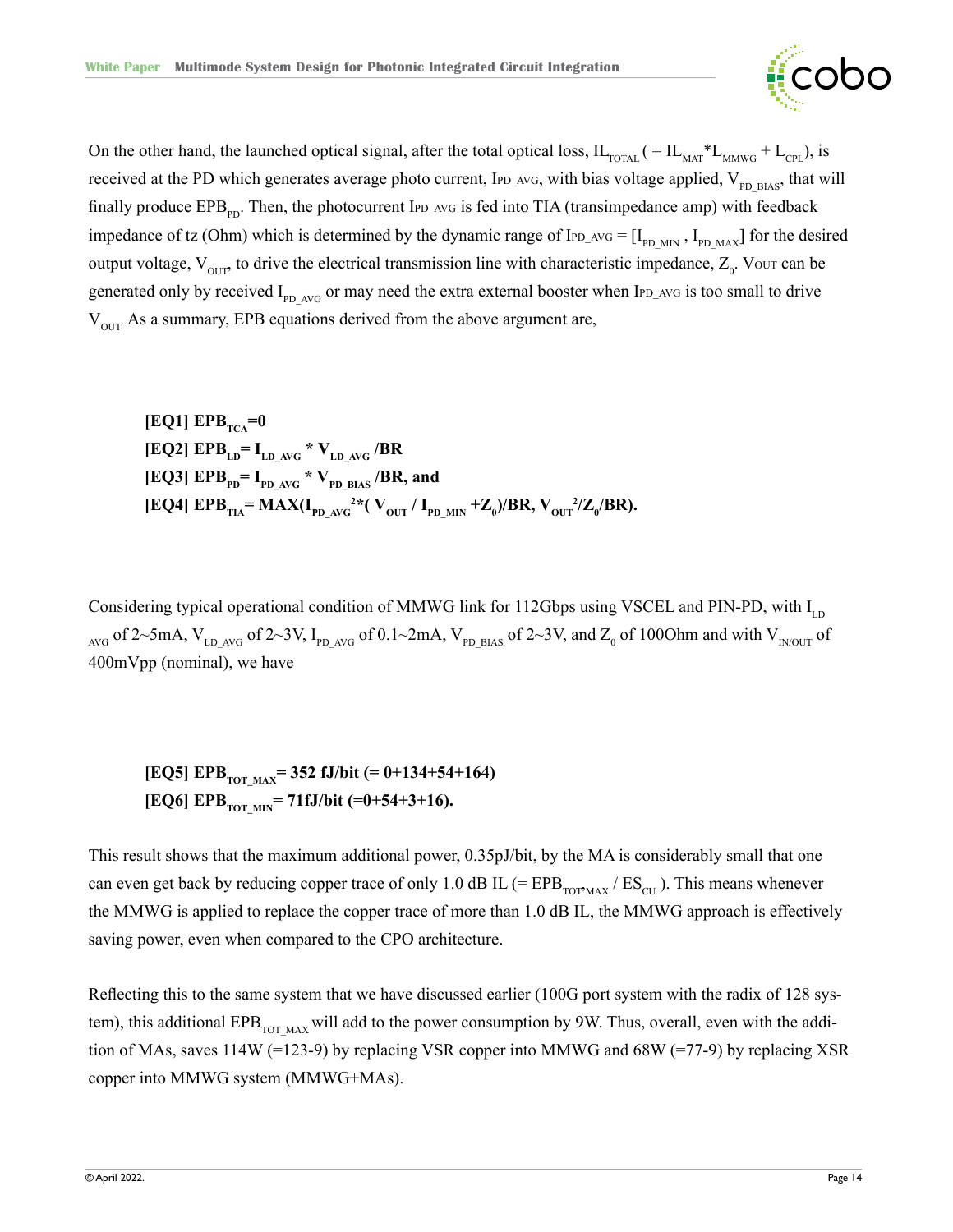

On the other hand, the launched optical signal, after the total optical loss,  $IL_{\text{DTAL}}$  ( =  $IL_{\text{MAT}} * L_{\text{MMWG}} + L_{\text{CPL}}$ ), is received at the PD which generates average photo current, IPD\_AVG, with bias voltage applied,  $V_{p_D \text{ BIAS}}$ , that will finally produce  $EPB_{\text{PD}}$ . Then, the photocurrent IPD\_AVG is fed into TIA (transimpedance amp) with feedback impedance of tz (Ohm) which is determined by the dynamic range of  $I_{PD\_AVG} = [I_{PD\_MIN}, I_{PD\_MAX}]$  for the desired output voltage,  $V_{\text{OUT}}$ , to drive the electrical transmission line with characteristic impedance,  $Z_0$ . Vour can be generated only by received  $I_{\text{PD} \text{AVG}}$  or may need the extra external booster when IPD\_AVG is too small to drive  $V<sub>off</sub>$ . As a summary, EPB equations derived from the above argument are,

 $[EQ1] EPB<sub>TCA</sub>=0$  $[EQ2] EPB<sub>LD</sub> = I<sub>LD_AVG</sub> * V<sub>LD_AVG</sub> / BR$  $\rm [EQ3]\;EPB_{\text{PD}}\rm =\text{I}_{\text{PD}\rm\_AVG}$  \*  $\rm V_{\text{PD}\rm\_BIAS}$  /BR, and  $[EQ4] EPB_{TIA} = MAX(I_{PD_{AVG}}^{2*}(V_{OUT} / I_{PD_{MIN}} + Z_0)/BR, V_{OUT}^{2}/Z_0/BR).$ 

Considering typical operational condition of MMWG link for 112Gbps using VSCEL and PIN-PD, with  $I_{LD}$ <sub>AVG</sub> of 2~5mA, V<sub>LD AVG</sub> of 2~3V, I<sub>PD AVG</sub> of 0.1~2mA, V<sub>PD BIAS</sub> of 2~3V, and Z<sub>0</sub> of 100Ohm and with V<sub>INOUT</sub> of 400mVpp (nominal), we have

[EQ5] EPB<sub>TOT MAX</sub>= 352 fJ/bit (= 0+134+54+164) [EQ6] EPB<sub>TOT\_MIN</sub>= 71fJ/bit (=0+54+3+16).

This result shows that the maximum additional power, 0.35pJ/bit, by the MA is considerably small that one can even get back by reducing copper trace of only 1.0 dB IL (=  $EPB_{TOTMAX} / ES_{CU}$ ). This means whenever the MMWG is applied to replace the copper trace of more than 1.0 dB IL, the MMWG approach is effectively saving power, even when compared to the CPO architecture.

Reflecting this to the same system that we have discussed earlier (100G port system with the radix of 128 system), this additional  $EPB_{\text{TOT MAX}}$  will add to the power consumption by 9W. Thus, overall, even with the addition of MAs, saves 114W (=123-9) by replacing VSR copper into MMWG and 68W (=77-9) by replacing XSR copper into MMWG system (MMWG+MAs).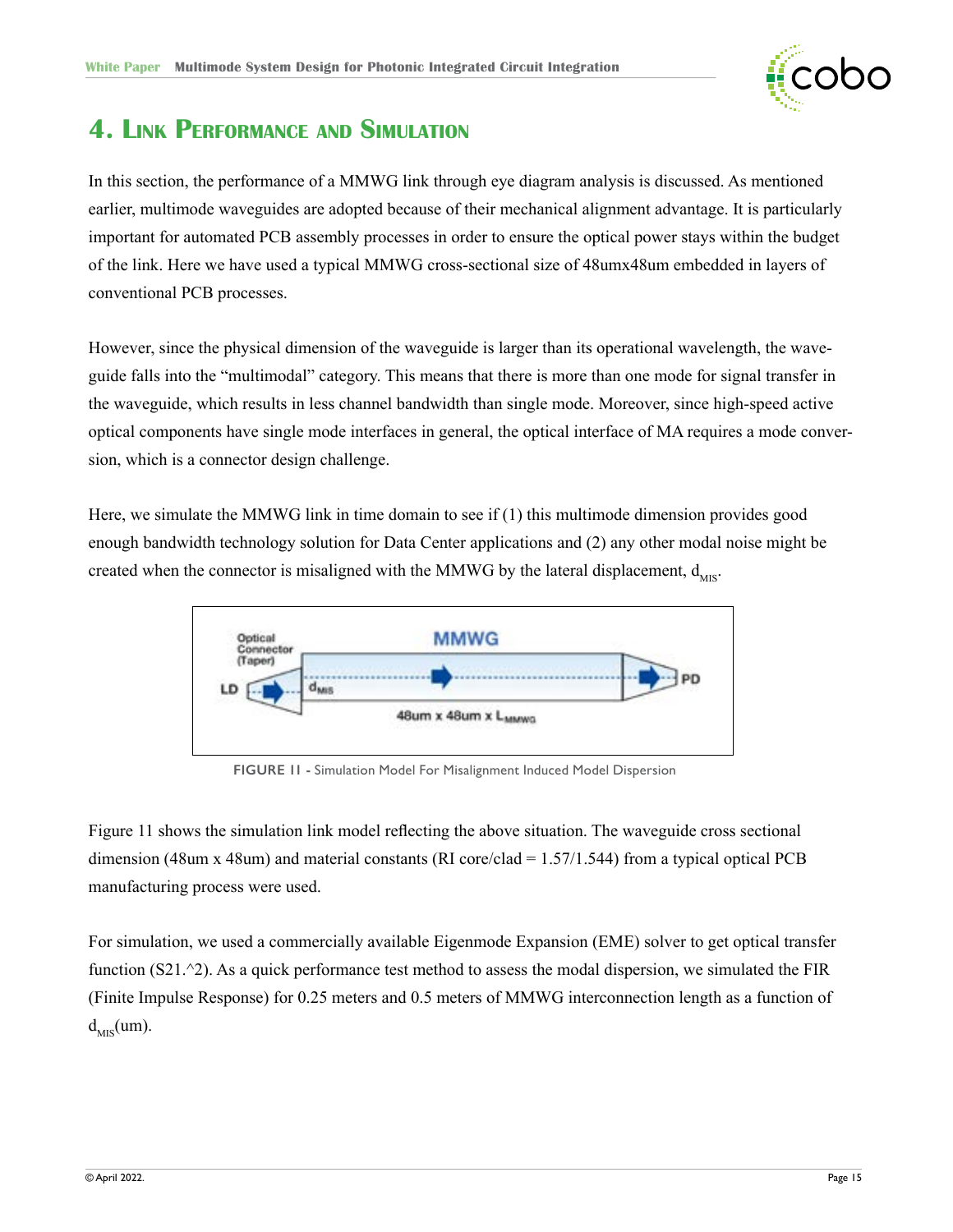

### <span id="page-14-0"></span>**4. Link Performance and Simulation**

In this section, the performance of a MMWG link through eye diagram analysis is discussed. As mentioned earlier, multimode waveguides are adopted because of their mechanical alignment advantage. It is particularly important for automated PCB assembly processes in order to ensure the optical power stays within the budget of the link. Here we have used a typical MMWG cross-sectional size of 48umx48um embedded in layers of conventional PCB processes.

However, since the physical dimension of the waveguide is larger than its operational wavelength, the waveguide falls into the "multimodal" category. This means that there is more than one mode for signal transfer in the waveguide, which results in less channel bandwidth than single mode. Moreover, since high-speed active optical components have single mode interfaces in general, the optical interface of MA requires a mode conversion, which is a connector design challenge.

Here, we simulate the MMWG link in time domain to see if (1) this multimode dimension provides good enough bandwidth technology solution for Data Center applications and (2) any other modal noise might be created when the connector is misaligned with the MMWG by the lateral displacement,  $d_{MIS}$ .



**FIGURE 11 -** Simulation Model For Misalignment Induced Model Dispersion

Figure 11 shows the simulation link model reflecting the above situation. The waveguide cross sectional dimension (48um x 48um) and material constants (RI core/clad = 1.57/1.544) from a typical optical PCB manufacturing process were used.

For simulation, we used a commercially available Eigenmode Expansion (EME) solver to get optical transfer function  $(S21.^2)$ . As a quick performance test method to assess the modal dispersion, we simulated the FIR (Finite Impulse Response) for 0.25 meters and 0.5 meters of MMWG interconnection length as a function of  $d_{MIS}(um)$ .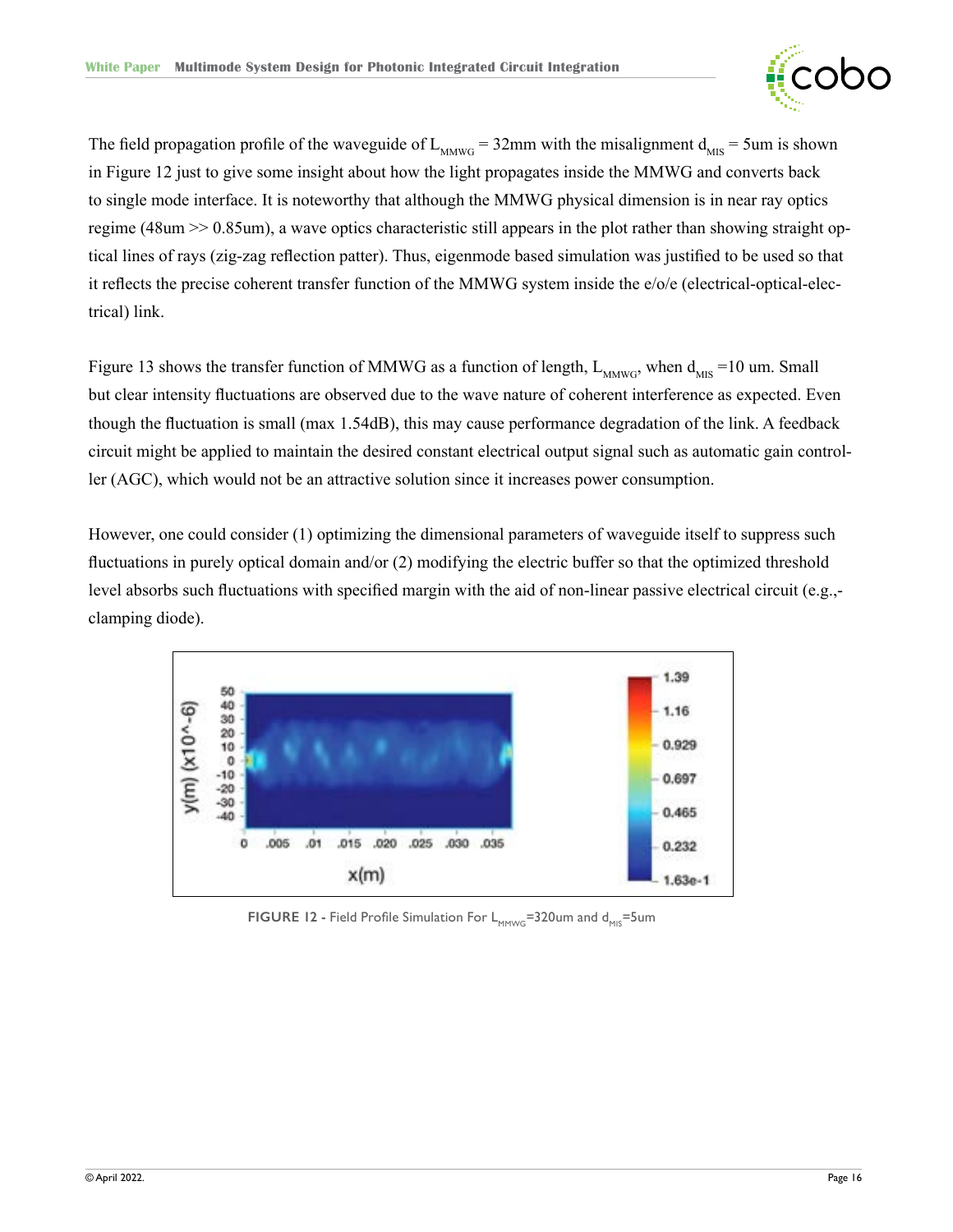

<span id="page-15-0"></span>The field propagation profile of the waveguide of  $L_{M(W)G} = 32$ mm with the misalignment  $d_{MIS} = 5$ um is shown in Figure 12 just to give some insight about how the light propagates inside the MMWG and converts back to single mode interface. It is noteworthy that although the MMWG physical dimension is in near ray optics regime (48um >> 0.85um), a wave optics characteristic still appears in the plot rather than showing straight optical lines of rays (zig-zag reflection patter). Thus, eigenmode based simulation was justified to be used so that it reflects the precise coherent transfer function of the MMWG system inside the e/o/e (electrical-optical-electrical) link.

Figure 13 shows the transfer function of MMWG as a function of length,  $L_{MWWG}$ , when  $d_{MIS} = 10$  um. Small but clear intensity fluctuations are observed due to the wave nature of coherent interference as expected. Even though the fluctuation is small (max 1.54dB), this may cause performance degradation of the link. A feedback circuit might be applied to maintain the desired constant electrical output signal such as automatic gain controller (AGC), which would not be an attractive solution since it increases power consumption.

However, one could consider (1) optimizing the dimensional parameters of waveguide itself to suppress such fluctuations in purely optical domain and/or (2) modifying the electric buffer so that the optimized threshold level absorbs such fluctuations with specified margin with the aid of non-linear passive electrical circuit (e.g., clamping diode).



**FIGURE 12 - Field Profile Simulation For L<sub>MMWG</sub>=320um and d<sub>MIS</sub>=5um**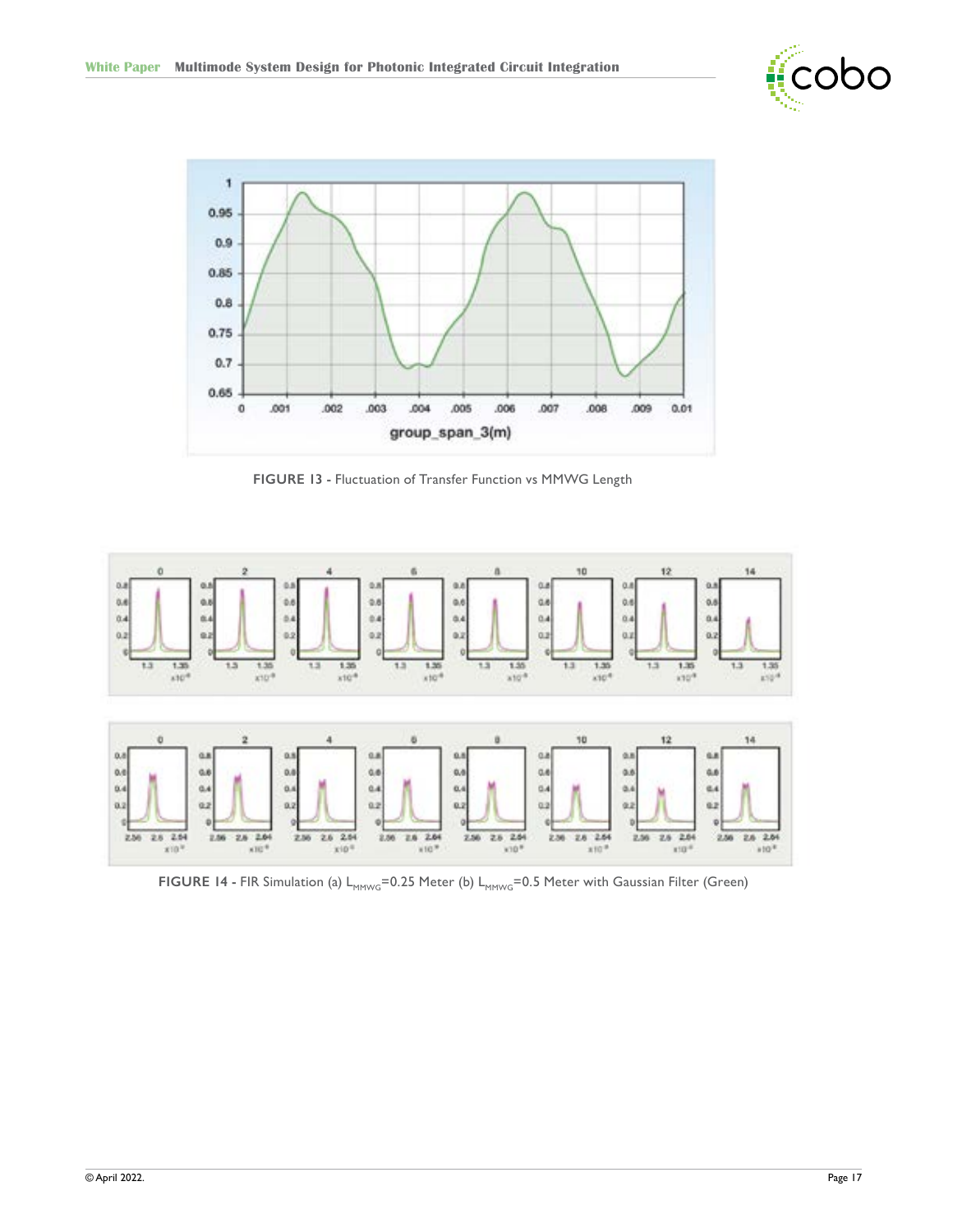

<span id="page-16-0"></span>

**FIGURE 13 -** Fluctuation of Transfer Function vs MMWG Length



FIGURE 14 - FIR Simulation (a) L<sub>MMWG</sub>=0.25 Meter (b) L<sub>MMWG</sub>=0.5 Meter with Gaussian Filter (Green)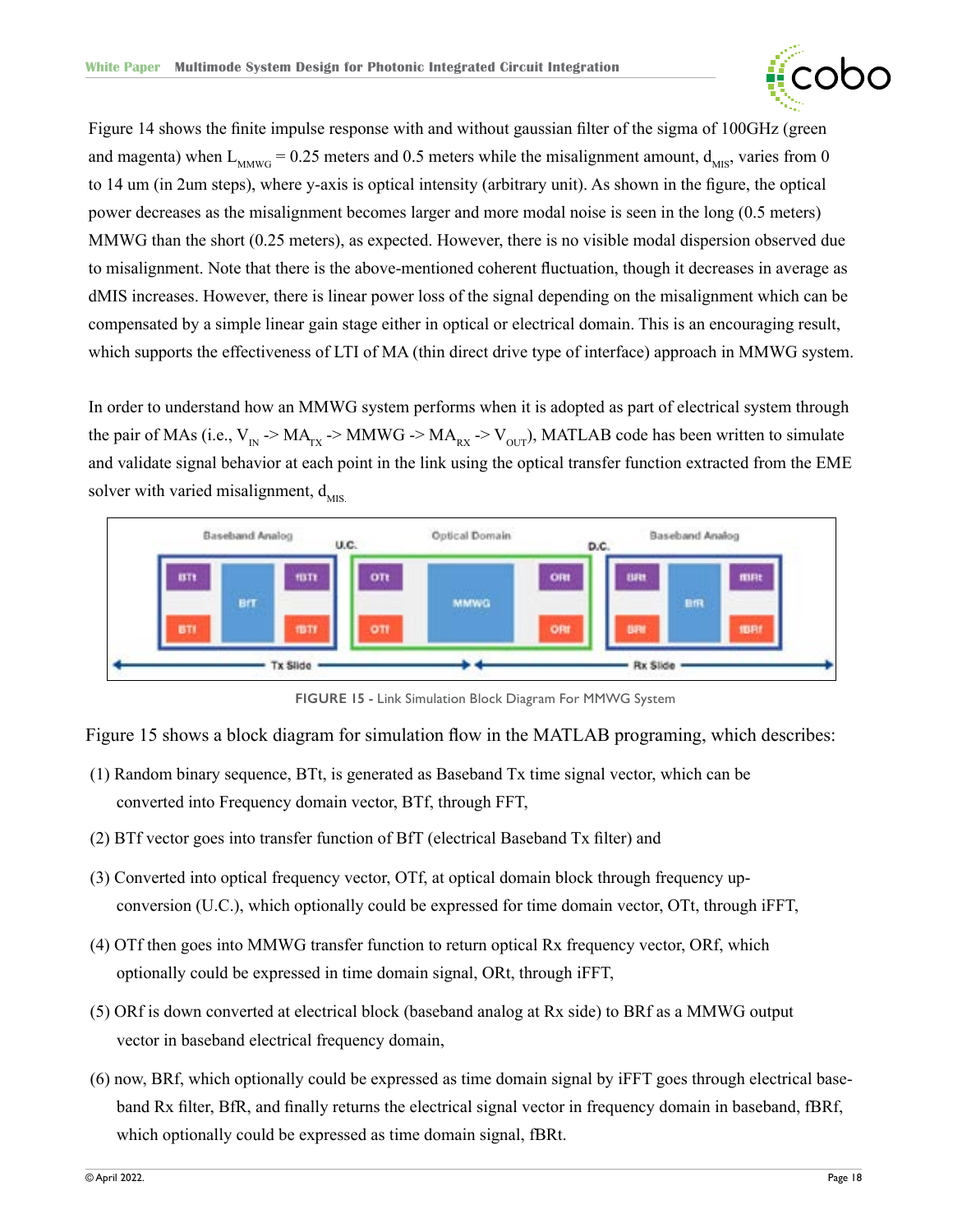

<span id="page-17-0"></span>Figure 14 shows the finite impulse response with and without gaussian filter of the sigma of 100GHz (green and magenta) when  $L_{M/(0.5)} = 0.25$  meters and 0.5 meters while the misalignment amount,  $d_{MIS}$ , varies from 0 to 14 um (in 2um steps), where y-axis is optical intensity (arbitrary unit). As shown in the figure, the optical power decreases as the misalignment becomes larger and more modal noise is seen in the long (0.5 meters) MMWG than the short (0.25 meters), as expected. However, there is no visible modal dispersion observed due to misalignment. Note that there is the above-mentioned coherent fluctuation, though it decreases in average as dMIS increases. However, there is linear power loss of the signal depending on the misalignment which can be compensated by a simple linear gain stage either in optical or electrical domain. This is an encouraging result, which supports the effectiveness of LTI of MA (thin direct drive type of interface) approach in MMWG system.

In order to understand how an MMWG system performs when it is adopted as part of electrical system through the pair of MAs (i.e.,  $V_{IN}$  -> MA<sub>rx</sub> -> MMWG -> MA<sub>rx</sub> -> V<sub>OUT</sub>), MATLAB code has been written to simulate and validate signal behavior at each point in the link using the optical transfer function extracted from the EME solver with varied misalignment,  $d_{MIS}$ 



**FIGURE 15 -** Link Simulation Block Diagram For MMWG System

Figure 15 shows a block diagram for simulation flow in the MATLAB programing, which describes:

- (1) Random binary sequence, BTt, is generated as Baseband Tx time signal vector, which can be converted into Frequency domain vector, BTf, through FFT,
- (2) BTf vector goes into transfer function of BfT (electrical Baseband Tx filter) and
- (3) Converted into optical frequency vector, OTf, at optical domain block through frequency upconversion (U.C.), which optionally could be expressed for time domain vector, OTt, through iFFT,
- (4) OTf then goes into MMWG transfer function to return optical Rx frequency vector, ORf, which optionally could be expressed in time domain signal, ORt, through iFFT,
- (5) ORf is down converted at electrical block (baseband analog at Rx side) to BRf as a MMWG output vector in baseband electrical frequency domain,
- (6) now, BRf, which optionally could be expressed as time domain signal by iFFT goes through electrical baseband Rx filter, BfR, and finally returns the electrical signal vector in frequency domain in baseband, fBRf, which optionally could be expressed as time domain signal, fBRt.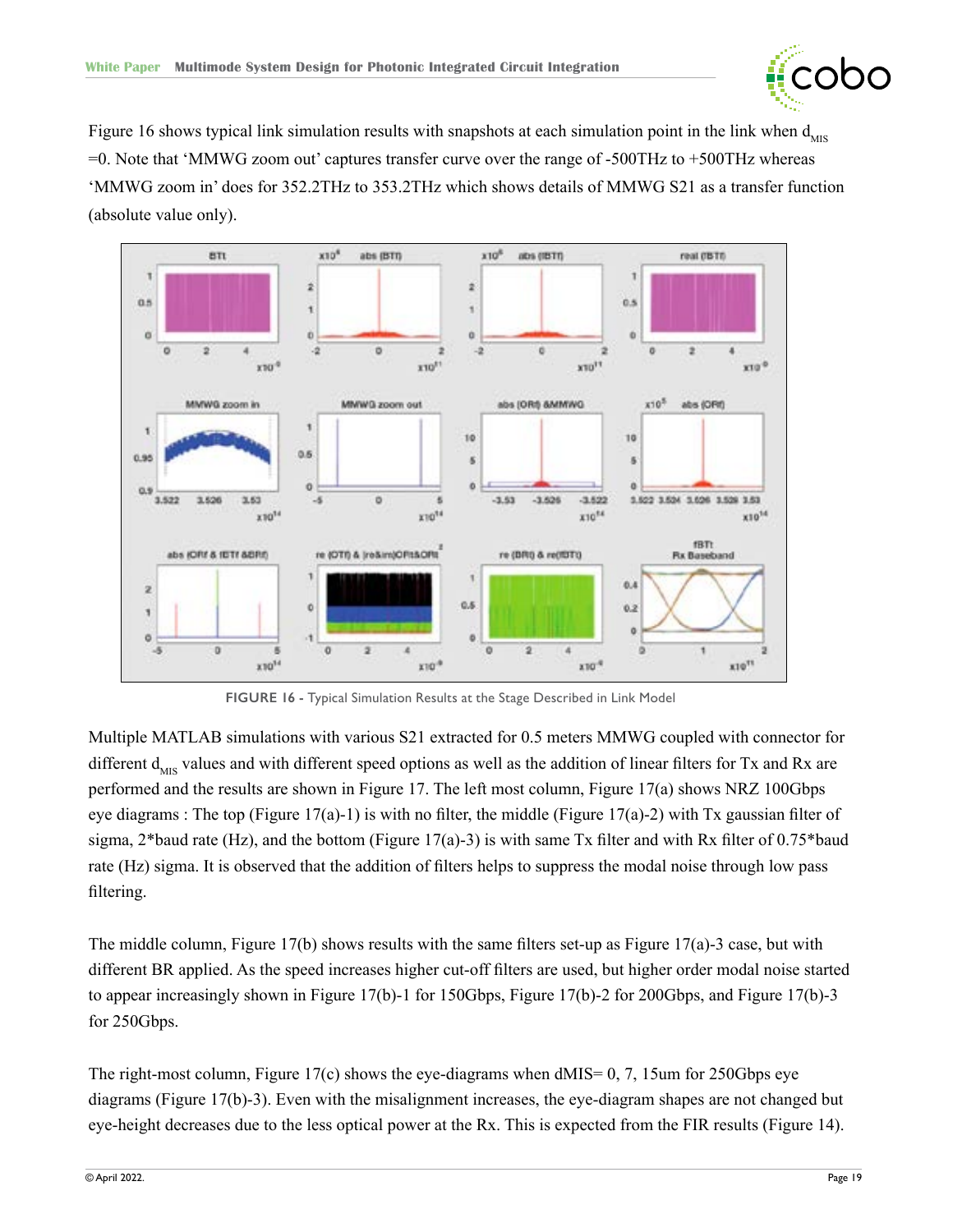

<span id="page-18-0"></span>Figure 16 shows typical link simulation results with snapshots at each simulation point in the link when  $d_{\text{MIS}}$  $=0$ . Note that 'MMWG zoom out' captures transfer curve over the range of -500THz to +500THz whereas 'MMWG zoom in' does for 352.2THz to 353.2THz which shows details of MMWG S21 as a transfer function (absolute value only).



**FIGURE 16 -** Typical Simulation Results at the Stage Described in Link Model

Multiple MATLAB simulations with various S21 extracted for 0.5 meters MMWG coupled with connector for different  $d_{MIS}$  values and with different speed options as well as the addition of linear filters for Tx and Rx are performed and the results are shown in Figure 17. The left most column, Figure 17(a) shows NRZ 100Gbps eye diagrams : The top (Figure 17(a)-1) is with no filter, the middle (Figure 17(a)-2) with Tx gaussian filter of sigma,  $2*$ baud rate (Hz), and the bottom (Figure 17(a)-3) is with same Tx filter and with Rx filter of 0.75\*baud rate (Hz) sigma. It is observed that the addition of filters helps to suppress the modal noise through low pass filtering.

The middle column, Figure 17(b) shows results with the same filters set-up as Figure 17(a)-3 case, but with different BR applied. As the speed increases higher cut-off filters are used, but higher order modal noise started to appear increasingly shown in Figure 17(b)-1 for 150Gbps, Figure 17(b)-2 for 200Gbps, and Figure 17(b)-3 for 250Gbps.

The right-most column, Figure 17(c) shows the eye-diagrams when dMIS= 0, 7, 15um for 250Gbps eye diagrams (Figure 17(b)-3). Even with the misalignment increases, the eye-diagram shapes are not changed but eye-height decreases due to the less optical power at the Rx. This is expected from the FIR results (Figure 14).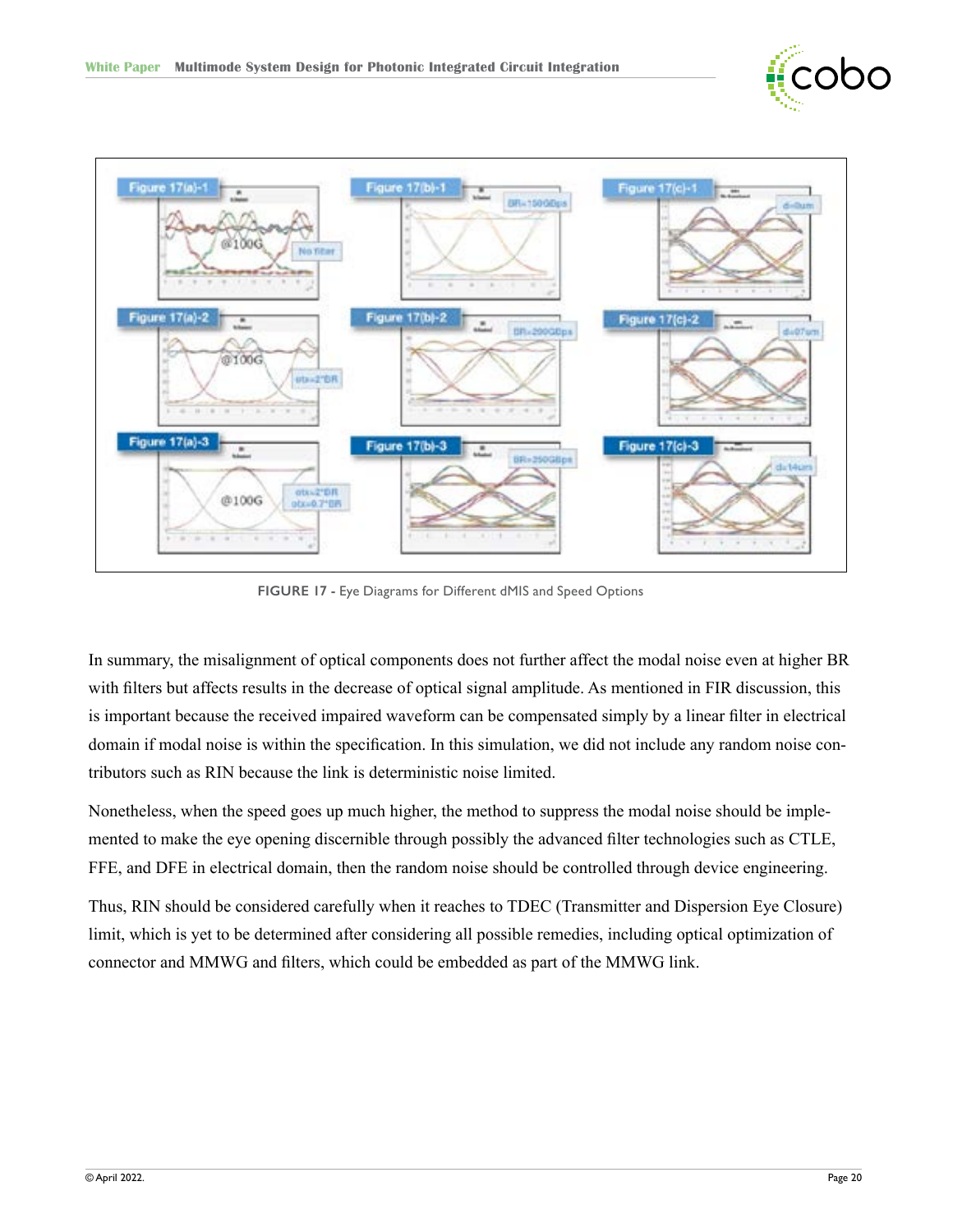

<span id="page-19-0"></span>

**FIGURE 17 -** Eye Diagrams for Different dMIS and Speed Options

In summary, the misalignment of optical components does not further affect the modal noise even at higher BR with filters but affects results in the decrease of optical signal amplitude. As mentioned in FIR discussion, this is important because the received impaired waveform can be compensated simply by a linear filter in electrical domain if modal noise is within the specification. In this simulation, we did not include any random noise contributors such as RIN because the link is deterministic noise limited.

Nonetheless, when the speed goes up much higher, the method to suppress the modal noise should be implemented to make the eye opening discernible through possibly the advanced filter technologies such as CTLE, FFE, and DFE in electrical domain, then the random noise should be controlled through device engineering.

Thus, RIN should be considered carefully when it reaches to TDEC (Transmitter and Dispersion Eye Closure) limit, which is yet to be determined after considering all possible remedies, including optical optimization of connector and MMWG and filters, which could be embedded as part of the MMWG link.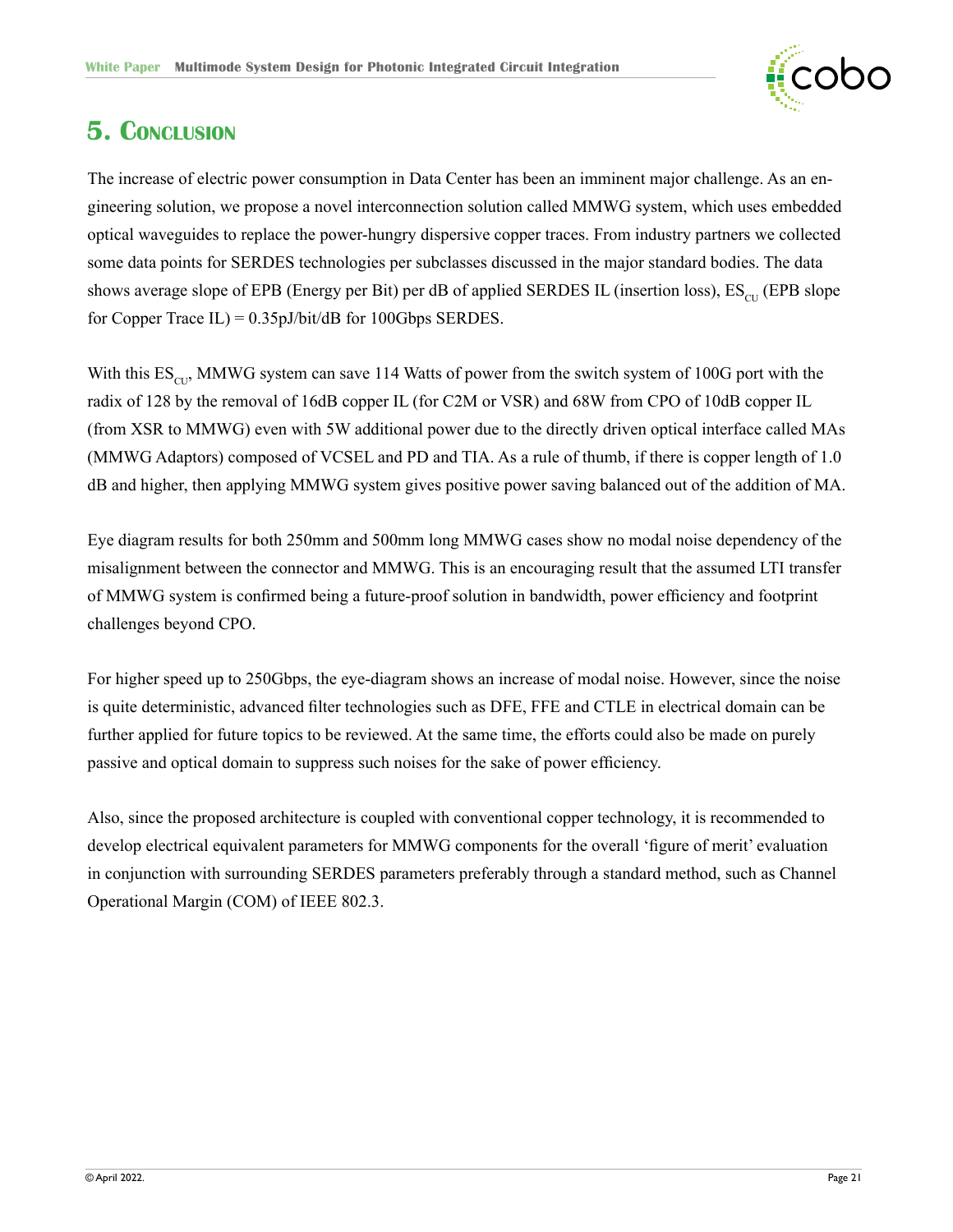

### **5. Conclusion**

The increase of electric power consumption in Data Center has been an imminent major challenge. As an engineering solution, we propose a novel interconnection solution called MMWG system, which uses embedded optical waveguides to replace the power-hungry dispersive copper traces. From industry partners we collected some data points for SERDES technologies per subclasses discussed in the major standard bodies. The data shows average slope of EPB (Energy per Bit) per dB of applied SERDES IL (insertion loss),  $ES_{\text{cut}}$  (EPB slope for Copper Trace  $IL$ ) = 0.35pJ/bit/dB for 100Gbps SERDES.

With this  $ES<sub>CI</sub>$ , MMWG system can save 114 Watts of power from the switch system of 100G port with the radix of 128 by the removal of 16dB copper IL (for C2M or VSR) and 68W from CPO of 10dB copper IL (from XSR to MMWG) even with 5W additional power due to the directly driven optical interface called MAs (MMWG Adaptors) composed of VCSEL and PD and TIA. As a rule of thumb, if there is copper length of 1.0 dB and higher, then applying MMWG system gives positive power saving balanced out of the addition of MA.

Eye diagram results for both 250mm and 500mm long MMWG cases show no modal noise dependency of the misalignment between the connector and MMWG. This is an encouraging result that the assumed LTI transfer of MMWG system is confirmed being a future-proof solution in bandwidth, power efficiency and footprint challenges beyond CPO.

For higher speed up to 250Gbps, the eye-diagram shows an increase of modal noise. However, since the noise is quite deterministic, advanced filter technologies such as DFE, FFE and CTLE in electrical domain can be further applied for future topics to be reviewed. At the same time, the efforts could also be made on purely passive and optical domain to suppress such noises for the sake of power efficiency.

Also, since the proposed architecture is coupled with conventional copper technology, it is recommended to develop electrical equivalent parameters for MMWG components for the overall 'figure of merit' evaluation in conjunction with surrounding SERDES parameters preferably through a standard method, such as Channel Operational Margin (COM) of IEEE 802.3.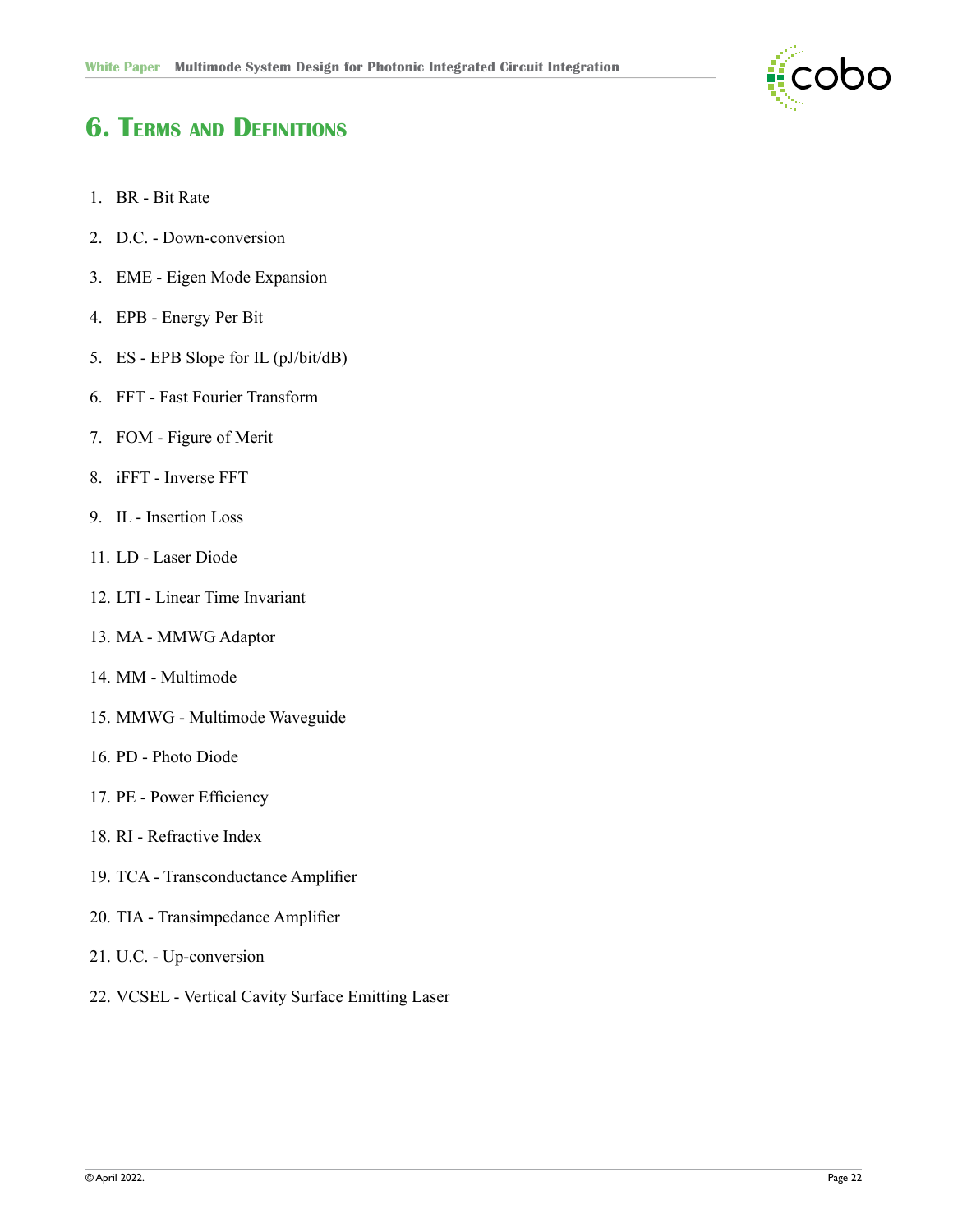

# **6. Terms and Definitions**

- 1. BR Bit Rate
- 2. D.C. Down-conversion
- 3. EME Eigen Mode Expansion
- 4. EPB Energy Per Bit
- 5. ES EPB Slope for IL (pJ/bit/dB)
- 6. FFT Fast Fourier Transform
- 7. FOM Figure of Merit
- 8. iFFT Inverse FFT
- 9. IL Insertion Loss
- 11. LD Laser Diode
- 12. LTI Linear Time Invariant
- 13. MA MMWG Adaptor
- 14. MM Multimode
- 15. MMWG Multimode Waveguide
- 16. PD Photo Diode
- 17. PE Power Efficiency
- 18. RI Refractive Index
- 19. TCA Transconductance Amplifier
- 20. TIA Transimpedance Amplifier
- 21. U.C. Up-conversion
- 22. VCSEL Vertical Cavity Surface Emitting Laser